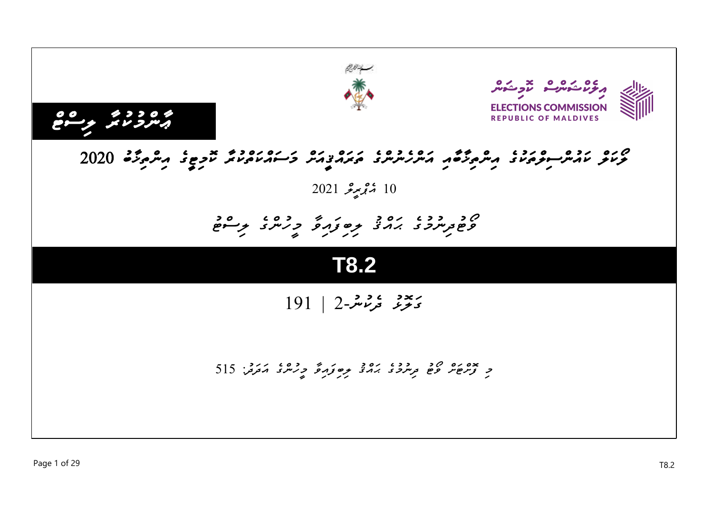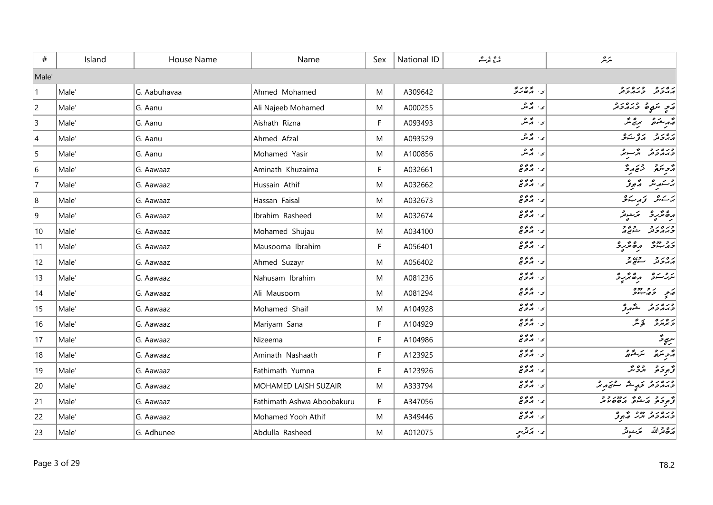| #              | Island | House Name   | Name                       | Sex | National ID | ، ه ، مرگ                                                                            | ىئرىتر                                                |
|----------------|--------|--------------|----------------------------|-----|-------------|--------------------------------------------------------------------------------------|-------------------------------------------------------|
| Male'          |        |              |                            |     |             |                                                                                      |                                                       |
| $\vert$ 1      | Male'  | G. Aabuhavaa | Ahmed Mohamed              | M   | A309642     | ى بە ئەرەپ                                                                           | ر ور د در در د                                        |
| $ 2\rangle$    | Male'  | G. Aanu      | Ali Najeeb Mohamed         | M   | A000255     | ی گرمگر                                                                              | أوسم سكفي ويتمدد والمحمد                              |
| $ 3\rangle$    | Male'  | G. Aanu      | Aishath Rizna              | F   | A093493     | ى بەرگەش                                                                             | قەرشۇق بوي تىگە                                       |
| $\overline{4}$ | Male'  | G. Aanu      | Ahmed Afzal                | M   | A093529     | ى بەرگەشىر                                                                           | גפלק גף ביצ                                           |
| $\overline{5}$ | Male'  | G. Aanu      | Mohamed Yasir              | M   | A100856     | ى بەرگەش                                                                             | وره دو پژسونر                                         |
| $\overline{6}$ | Male'  | G. Aawaaz    | Aminath Khuzaima           | F   | A032661     | ى بە ئەتى                                                                            | أأزجر سكرة المتجاريح                                  |
| 7              | Male'  | G. Aawaaz    | Hussain Athif              | M   | A032662     | ى بە ئەھ                                                                             | جرسكمر شرقر ومحبوقر                                   |
| 8              | Male'  | G. Aawaaz    | Hassan Faisal              | M   | A032673     | ى بەلگەن                                                                             | يزخش تماريده                                          |
| 9              | Male'  | G. Aawaaz    | Ibrahim Rasheed            | M   | A032674     | ر په ده ه<br>د ۱ مرکز م                                                              | رە ئرىر ئىسىمى ئىشىمى                                 |
| 10             | Male'  | G. Aawaaz    | Mohamed Shujau             | M   | A034100     | ى بە ئەھ                                                                             | وره رو د ووو و<br>د <i>بر د ح</i> ر د سنون <u>ويو</u> |
| 11             | Male'  | G. Aawaaz    | Mausooma Ibrahim           | F   | A056401     | ى بە ئەھ                                                                             | ەھ ترىرى<br>ر د دوء                                   |
| 12             | Male'  | G. Aawaaz    | Ahmed Suzayr               | M   | A056402     | ى بەلگەن                                                                             | ره رو د ده و                                          |
| 13             | Male'  | G. Aawaaz    | Nahusam Ibrahim            | M   | A081236     | ى بەلگەنى                                                                            | برويره مقتربه                                         |
| 14             | Male'  | G. Aawaaz    | Ali Mausoom                | M   | A081294     | ى بەلگەن                                                                             | $rac{1}{2}$                                           |
| 15             | Male'  | G. Aawaaz    | Mohamed Shaif              | M   | A104928     | $\overset{o}{\sim} \overset{\not\sim}{\sim} \overset{o}{\sim} \cdot$ $\cdot$ $\cdot$ | ورەرو ئىگەنى                                          |
| 16             | Male'  | G. Aawaaz    | Mariyam Sana               | F.  | A104929     | ى بەلگەن                                                                             | ر ه ر ه<br>د بربر د<br>ۇرتىر                          |
| 17             | Male'  | G. Aawaaz    | Nizeema                    | F.  | A104986     | ى بە ئەھ                                                                             | سرىپوځ                                                |
| 18             | Male'  | G. Aawaaz    | Aminath Nashaath           | F   | A123925     | ى بەلگەن                                                                             | أثر حريره<br>سرڪ ته تر                                |
| 19             | Male'  | G. Aawaaz    | Fathimath Yumna            | F   | A123926     | ى بە ئەھ                                                                             | توجد ووعر                                             |
| 20             | Male'  | G. Aawaaz    | MOHAMED LAISH SUZAIR       | M   | A333794     | 850.5                                                                                | ورەرو كېرىش مەرىر                                     |
| 21             | Male'  | G. Aawaaz    | Fathimath Ashwa Aboobakuru | F.  | A347056     | ر به ۱۶۶۶<br>د ۱ هرمني                                                               | 77/77/90/29/95                                        |
| 22             | Male'  | G. Aawaaz    | Mohamed Yooh Athif         | M   | A349446     | 85.3.5                                                                               | כנסנפ חד ביטי                                         |
| 23             | Male'  | G. Adhunee   | Abdulla Rasheed            | M   | A012075     | ی کروگرمبر                                                                           | مَدْهُ مَّرْاللَّهُ مَرَسُومَّر                       |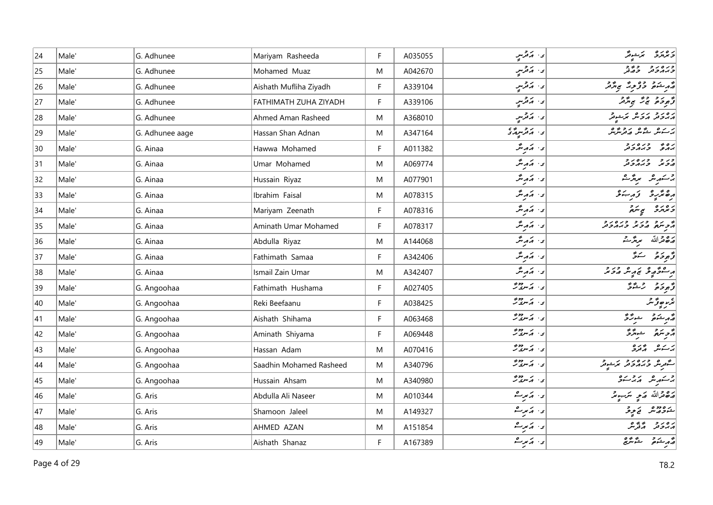| 24 | Male' | G. Adhunee      | Mariyam Rasheeda        | F           | A035055 | ء سر تر تر سير                   | د ۱۵ ده پر غیر تگر                                                                                                      |
|----|-------|-----------------|-------------------------|-------------|---------|----------------------------------|-------------------------------------------------------------------------------------------------------------------------|
| 25 | Male' | G. Adhunee      | Mohamed Muaz            | M           | A042670 | ا د · مرکز میر                   | כנסנכ כבב<br>כ <i>ג</i> ונכת כולנ                                                                                       |
| 26 | Male' | G. Adhunee      | Aishath Mufliha Ziyadh  | $\mathsf F$ | A339104 | <sub>ی</sub> پر مرکز سر          | ومشاه ووجد بمرمد                                                                                                        |
| 27 | Male' | G. Adhunee      | FATHIMATH ZUHA ZIYADH   | F           | A339106 | <sub>ی</sub> گروگرسیه            | و د د دو.<br>زوده د سم                                                                                                  |
| 28 | Male' | G. Adhunee      | Ahmed Aman Rasheed      | M           | A368010 | <sub>ی</sub> پر مرکز سر          | رەر دېرى كەنبەتە                                                                                                        |
| 29 | Male' | G. Adhunee aage | Hassan Shan Adnan       | M           | A347164 | ى ئەقرىبرىدى                     | ىر كەش كەش كەنگەش كەنگەنلىر                                                                                             |
| 30 | Male' | G. Ainaa        | Hawwa Mohamed           | F.          | A011382 | ا د ستمبر میگر                   | ים ביםנב                                                                                                                |
| 31 | Male' | G. Ainaa        | Umar Mohamed            | M           | A069774 | ى ئەمرىتر                        | כנ כנסנב<br>גביל במבכנ                                                                                                  |
| 32 | Male' | G. Ainaa        | Hussain Riyaz           | M           | A077901 | ا د سر مگر مگر                   | برسكريش المريرشة                                                                                                        |
| 33 | Male' | G. Ainaa        | Ibrahim Faisal          | M           | A078315 | ى بە ئەرىتى                      | رە ئەر ئەسكى                                                                                                            |
| 34 | Male' | G. Ainaa        | Mariyam Zeenath         | F           | A078316 | <sub>ی</sub> . م <i>م</i> مرینگر |                                                                                                                         |
| 35 | Male' | G. Ainaa        | Aminath Umar Mohamed    | F           | A078317 | ى بە ئەرىتى                      | أثم شروع وره دو                                                                                                         |
| 36 | Male' | G. Ainaa        | Abdulla Riyaz           | M           | A144068 | ، ئەمرىتر                        | رەقراللە مەرگەنە                                                                                                        |
| 37 | Male' | G. Ainaa        | Fathimath Samaa         | $\mathsf F$ | A342406 | ى بە ئەرىتى                      | قەچە ئەڭ                                                                                                                |
| 38 | Male' | G. Ainaa        | Ismail Zain Umar        | M           | A342407 | ، ئەمەيىتى                       | أر مشرح و علي الله الله و در د                                                                                          |
| 39 | Male' | G. Angoohaa     | Fathimath Hushama       | $\mathsf F$ | A027405 | ى سەھەتىر                        | قرم فريدة والمستورثة                                                                                                    |
| 40 | Male' | G. Angoohaa     | Reki Beefaanu           | F           | A038425 | ى سەھەتىر                        | ى<br>ئىرىپ ھوڭەنتىر                                                                                                     |
| 41 | Male' | G. Angoohaa     | Aishath Shihama         | F.          | A063468 | ى سىردە ئە                       | و د د د د د د د د د کلی<br>مرکز د د د د کرد کلی                                                                         |
| 42 | Male' | G. Angoohaa     | Aminath Shiyama         | F           | A069448 | ى بە ئەسرىيە س                   |                                                                                                                         |
| 43 | Male' | G. Angoohaa     | Hassan Adam             | ${\sf M}$   | A070416 | ى بەكەنىڭ گ                      | بر ہے میں ایک ایک میں تحریک                                                                                             |
| 44 | Male' | G. Angoohaa     | Saadhin Mohamed Rasheed | M           | A340796 | ى سىردە ئە                       | ر محمد می در در در محمد برگست در این در این در این در این در این در این در این در این در این در این در این دا<br>مراسمه |
| 45 | Male' | G. Angoohaa     | Hussain Ahsam           | M           | A340980 | ى سەھەتىر                        | ج سکور میں مدیر کر دی جات                                                                                               |
| 46 | Male' | G. Aris         | Abdulla Ali Naseer      | M           | A010344 | ا <sup>ی م</sup> رسمبرگ          | مَعْقَدَاللّهِ مَعِ مَرَجِعَ                                                                                            |
| 47 | Male' | G. Aris         | Shamoon Jaleel          | M           | A149327 | <sub>ی</sub> پر مرکب میرک        | شەھەر ئەمرىتى                                                                                                           |
| 48 | Male' | G. Aris         | AHMED AZAN              | M           | A151854 | ا <sup>ی م</sup> رسمبرگ          | دەر دەپرە ھەترىتر                                                                                                       |
| 49 | Male' | G. Aris         | Aishath Shanaz          | F           | A167389 | ى سىمىرىشە                       | ۇرىشكى ئىشترى                                                                                                           |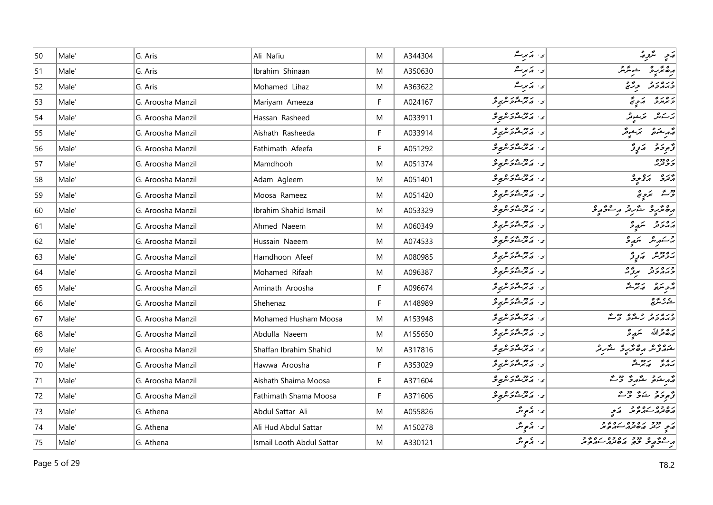| 50 | Male' | G. Aris           | Ali Nafiu                 | M         | A344304 | ی پر محرک                | سَّعرِ <i>م</i> ُ<br>ەسمىيە               |
|----|-------|-------------------|---------------------------|-----------|---------|--------------------------|-------------------------------------------|
| 51 | Male' | G. Aris           | Ibrahim Shinaan           | M         | A350630 | ی په کمپر ک              | وە پۇرۇ<br>ے۔مگر <i>م</i> گر              |
| 52 | Male' | G. Aris           | Mohamed Lihaz             | M         | A363622 | ى سىمىرىشە               | و ره ر د<br><i>و پر</i> پر تر<br>عرشيح    |
| 53 | Male' | G. Aroosha Manzil | Mariyam Ameeza            | F         | A024167 | ى سەھرىشكە كەنگىنى بى    | ر ه بر ه<br><del>د</del> بربر و<br>تزيرتج |
| 54 | Male' | G. Aroosha Manzil | Hassan Rasheed            | M         | A033911 | ى سىردە ئەر ئەر ئىچ      | ىر كەش ئىزىشوش                            |
| 55 | Male' | G. Aroosha Manzil | Aishath Rasheeda          | F         | A033914 | ى سەھەت ئەر ئەر بولى     | مەر ئىكى ئىم ئىسى ئىگە                    |
| 56 | Male' | G. Aroosha Manzil | Fathimath Afeefa          | F         | A051292 | ى سەھەت ئەر ھەي بى       | وٌمِ دَمَ إِنَّ                           |
| 57 | Male' | G. Aroosha Manzil | Mamdhooh                  | M         | A051374 | ى سەھرىشكە كەنگىنى بى    | ر ه دوه<br><del>د</del> و توبر            |
| 58 | Male' | G. Aroosha Manzil | Adam Agleem               | M         | A051401 | ى سەھرىشكە ئىرىمى ئى     | پھر و<br>مرکور<br>برء جرى                 |
| 59 | Male' | G. Aroosha Manzil | Moosa Rameez              | M         | A051420 | ى سەرەھەر ئەرەپ ئى       | روم تمرد می                               |
| 60 | Male' | G. Aroosha Manzil | Ibrahim Shahid Ismail     | M         | A053329 | ى ئەمەر ئەر ئەر ئىس ئى   | رەنزىر ئىسىر ئىر ئىر                      |
| 61 | Male' | G. Aroosha Manzil | Ahmed Naeem               | M         | A060349 | ى سىر ئەتتىر ئىس ئىس ئىس | ر ه ر د<br>م.ر د تر<br>سكەپە              |
| 62 | Male' | G. Aroosha Manzil | Hussain Naeem             | M         | A074533 | ى بەردىستۇر شرىي تى      | جاسكونكر الكرموق                          |
| 63 | Male' | G. Aroosha Manzil | Hamdhoon Afeef            | M         | A080985 | ى ئەترىشۇر ئىرىگى ئى     | ק פרקים - ה'קֶיר ל                        |
| 64 | Male' | G. Aroosha Manzil | Mohamed Rifaah            | M         | A096387 | ر دود مورد در د          | ورەر د<br><i>دى</i> رمەن برۇر             |
| 65 | Male' | G. Aroosha Manzil | Aminath Aroosha           | F         | A096674 | ى سەھرىشكە كەنگىنى بىلى  | أزمر بزة<br>ەردومىيە                      |
| 66 | Male' | G. Aroosha Manzil | Shehenaz                  | F         | A148989 | ى سەرەھەر ئەرەپ ئى       | ے بر بر مربع<br>مشر <i>د متر</i> بع       |
| 67 | Male' | G. Aroosha Manzil | Mohamed Husham Moosa      | M         | A153948 | ى ئەمەشكەت سىنجاش        | ورەر د د دە « د                           |
| 68 | Male' | G. Aroosha Manzil | Abdulla Naeem             | M         | A155650 | ى ئەترىشۇ ئەس ئو         | أرە داللە سَمْدٍ د                        |
| 69 | Male' | G. Aroosha Manzil | Shaffan Ibrahim Shahid    | M         | A317816 | ى بەردىستۇر شرىي تى      | خەر ئىگە رە ئۇر ئىسىرلىر                  |
| 70 | Male' | G. Aroosha Manzil | Hawwa Aroosha             | F         | A353029 | ى ئەترىشۇر ئىرىگى ئى     | رە پەردى<br>بەرە يەترىش                   |
| 71 | Male' | G. Aroosha Manzil | Aishath Shaima Moosa      | F         | A371604 | ر دود مورد در د          | ۇرىدۇ شەرۇ ۋى                             |
| 72 | Male' | G. Aroosha Manzil | Fathimath Shama Moosa     | F         | A371606 | ى سەھرىشكە ئىرىمى ئى     | وٌ ورو شرق ولگ                            |
| 73 | Male' | G. Athena         | Abdul Sattar Ali          | M         | A055826 | ى ئەھمەتىگە              | גם כם גם גבי בית                          |
| 74 | Male' | G. Athena         | Ali Hud Abdul Sattar      | M         | A150278 | ى ئەمچىگە                | ג כל גם כם גם זיכ                         |
| 75 | Male' | G. Athena         | Ismail Looth Abdul Sattar | ${\sf M}$ | A330121 | ى ئەھمەتىگە              | a Call Call 100 1010                      |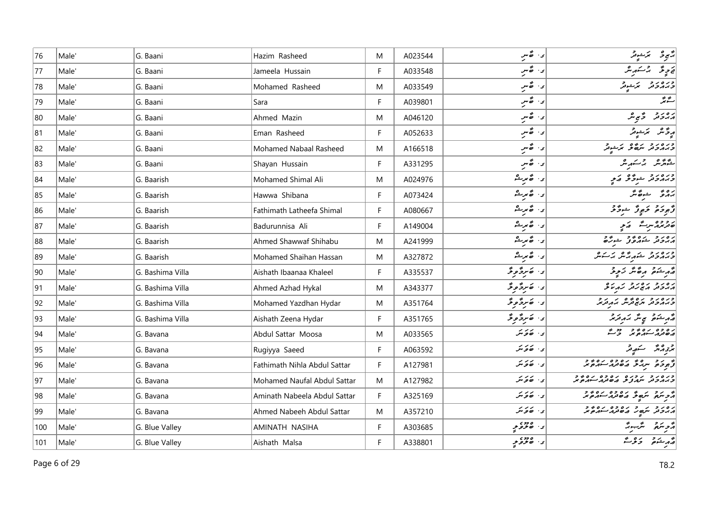| 76  | Male' | G. Baani         | Hazim Rasheed                | M           | A023544 | $\frac{1}{2}$                                                                                                                                                                                                                                                                                                                                                                                                                          | چې د ترخونه<br>ترڅې ترخونه<br>نوڅه ترخونه                                  |
|-----|-------|------------------|------------------------------|-------------|---------|----------------------------------------------------------------------------------------------------------------------------------------------------------------------------------------------------------------------------------------------------------------------------------------------------------------------------------------------------------------------------------------------------------------------------------------|----------------------------------------------------------------------------|
| 77  | Male' | G. Baani         | Jameela Hussain              | F           | A033548 | ای- گامبر<br>ا                                                                                                                                                                                                                                                                                                                                                                                                                         |                                                                            |
| 78  | Male' | G. Baani         | Mohamed Rasheed              | M           | A033549 | $\overline{\begin{array}{ccc} & \overline{\begin{array}{c} & \overline{\begin{array}{c} \\ \overline{\begin{array}{c} \\ \overline{\end{array}}\\ \overline{\end{array}}\\ \overline{\end{array}}} \\ \overline{\end{array}}}$                                                                                                                                                                                                         | وره رو کرشونر<br>وبردونر کرشونر                                            |
| 79  | Male' | G. Baani         | Sara                         | E           | A039801 | $\overline{\begin{array}{ccc} & \overline{\begin{array}{c} & \overline{\begin{array}{c} \\ \mathbf{0} & \mathbf{0} \end{array}} \\ \mathbf{0} & \mathbf{0} \end{array}} \end{array}}$                                                                                                                                                                                                                                                  | سەتە                                                                       |
| 80  | Male' | G. Baani         | Ahmed Mazin                  | M           | A046120 | ای گھیں<br>ا                                                                                                                                                                                                                                                                                                                                                                                                                           | رەر ئەتبە                                                                  |
| 81  | Male' | G. Baani         | Eman Rasheed                 | F           | A052633 | ای گھس                                                                                                                                                                                                                                                                                                                                                                                                                                 | ړ څکر کرشونر                                                               |
| 82  | Male' | G. Baani         | Mohamed Nabaal Rasheed       | M           | A166518 | ای گھیں<br>ا                                                                                                                                                                                                                                                                                                                                                                                                                           |                                                                            |
| 83  | Male' | G. Baani         | Shayan Hussain               | F           | A331295 | ى . ئەسر                                                                                                                                                                                                                                                                                                                                                                                                                               | شەھرىر برگىرمىر                                                            |
| 84  | Male' | G. Baarish       | Mohamed Shimal Ali           | M           | A024976 | ى ، ھٌ پرڪ                                                                                                                                                                                                                                                                                                                                                                                                                             | ورەرو جوڭ كەر                                                              |
| 85  | Male' | G. Baarish       | Hawwa Shibana                | F           | A073424 | <br>  د گامېر شه                                                                                                                                                                                                                                                                                                                                                                                                                       | رە ئەھەر                                                                   |
| 86  | Male' | G. Baarish       | Fathimath Latheefa Shimal    | F           | A080667 | ئەڭ ئىرىشە                                                                                                                                                                                                                                                                                                                                                                                                                             | ژُودۇ دۇر شۇد                                                              |
| 87  | Male' | G. Baarish       | Badurunnisa Ali              | F           | A149004 | <br> ۍ گه مرشو                                                                                                                                                                                                                                                                                                                                                                                                                         | ק ככפת היה היק                                                             |
| 88  | Male' | G. Baarish       | Ahmed Shawwaf Shihabu        | M           | A241999 | $\begin{array}{c c} \mathbf{2} & \mathbf{3} & \mathbf{1} \\ \mathbf{2} & \mathbf{3} & \mathbf{1} \\ \mathbf{3} & \mathbf{1} & \mathbf{1} \\ \mathbf{4} & \mathbf{1} & \mathbf{1} \\ \mathbf{4} & \mathbf{1} & \mathbf{1} \\ \mathbf{4} & \mathbf{1} & \mathbf{1} \\ \mathbf{4} & \mathbf{1} & \mathbf{1} \\ \mathbf{4} & \mathbf{1} & \mathbf{1} \\ \mathbf{4} & \mathbf{1} & \mathbf{1} \\ \mathbf{4} & \mathbf{1} & \mathbf{1} \\ \$ | رەر دېم دەپ دەر                                                            |
| 89  | Male' | G. Baarish       | Mohamed Shaihan Hassan       | M           | A327872 | ى . ھَىمْرىشە                                                                                                                                                                                                                                                                                                                                                                                                                          | ورەرو خىر شىر ئەسەس                                                        |
| 90  | Male' | G. Bashima Villa | Aishath Ibaanaa Khaleel      | F           | A335537 | ى ئەردۇرۇ                                                                                                                                                                                                                                                                                                                                                                                                                              | مەستىم مەمگە ئېچى                                                          |
| 91  | Male' | G. Bashima Villa | Ahmed Azhad Hykal            | M           | A343377 | ى ئەردۇرۇ                                                                                                                                                                                                                                                                                                                                                                                                                              | גפני גפני הגיל                                                             |
| 92  | Male' | G. Bashima Villa | Mohamed Yazdhan Hydar        | M           | A351764 | <sub>ى: ھَ</sub> ىرِدُّ <sub>مِر</sub> دُّ                                                                                                                                                                                                                                                                                                                                                                                             | ورەرو رەپەر ئەدىر                                                          |
| 93  | Male' | G. Bashima Villa | Aishath Zeena Hydar          | F           | A351765 | ى قىرىۋە ئە                                                                                                                                                                                                                                                                                                                                                                                                                            | مەر شكىمى ئوپىگە ئەر قرىر                                                  |
| 94  | Male' | G. Bavana        | Abdul Sattar Moosa           | M           | A033565 | ى بە ئەركىر                                                                                                                                                                                                                                                                                                                                                                                                                            | נסכם נסמכ"ס מ"מ"<br>השנה ייחודית כיי                                       |
| 95  | Male' | G. Bavana        | Rugiyya Saeed                | $\mathsf F$ | A063592 | ى بە ھەتىر                                                                                                                                                                                                                                                                                                                                                                                                                             |                                                                            |
| 96  | Male' | G. Bavana        | Fathimath Nihla Abdul Sattar | F           | A127981 | ى بە ئەتەر                                                                                                                                                                                                                                                                                                                                                                                                                             | י גב קסף גם כם גם כם <del>.</del><br>צי <i>פכ</i> ם יימי <del>ל</del> בשתח |
| 97  | Male' | G. Bavana        | Mohamed Naufal Abdul Sattar  | M           | A127982 | ى بە ھۇنىڭر                                                                                                                                                                                                                                                                                                                                                                                                                            | 2 מ 0 מ 2 מ 2 מ 2 מ 2 מ 2 מ 2 2 מ<br>3 מ 2 מ 2 מ 2 מ 2 מ 2 מ 2 מ 2 מ 2 מ   |
| 98  | Male' | G. Bavana        | Aminath Nabeela Abdul Sattar | F           | A325169 | ى ئەقەتىر                                                                                                                                                                                                                                                                                                                                                                                                                              | י מר מסיל מסינת - 1970<br>הקייטת יינסיק הסינה - התתיב                      |
| 99  | Male' | G. Bavana        | Ahmed Nabeeh Abdul Sattar    | M           | A357210 | ى بە ئەتىر                                                                                                                                                                                                                                                                                                                                                                                                                             |                                                                            |
| 100 | Male' | G. Blue Valley   | AMINATH NASIHA               | F.          | A303685 | — ودوء<br> ی- صفره م                                                                                                                                                                                                                                                                                                                                                                                                                   | أقرحتم الترسوقه                                                            |
| 101 | Male' | G. Blue Valley   | Aishath Malsa                | F           | A338801 | — ودوء<br> ی- صوفوی                                                                                                                                                                                                                                                                                                                                                                                                                    | ۇرىشى دۇڭ                                                                  |
|     |       |                  |                              |             |         |                                                                                                                                                                                                                                                                                                                                                                                                                                        |                                                                            |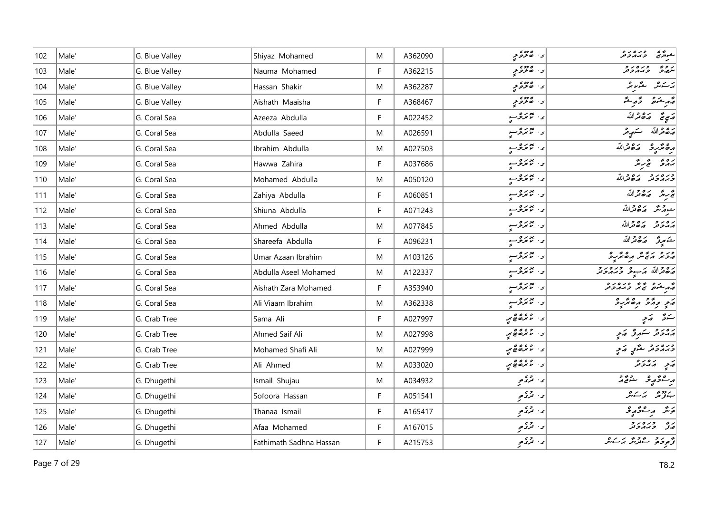| 102 | Male' | G. Blue Valley | Shiyaz Mohamed          | M           | A362090 | ا د ۱۵ هجر <i>ه د</i>                   | و رە ر د<br><i>د بە</i> پەر<br>  شەدىرى<br> - |
|-----|-------|----------------|-------------------------|-------------|---------|-----------------------------------------|-----------------------------------------------|
| 103 | Male' | G. Blue Valley | Nauma Mohamed           | F           | A362215 | ى ھۆۋىي                                 | سروی<br>و ر ه ر د<br>تر پر ژ تر               |
| 104 | Male' | G. Blue Valley | Hassan Shakir           | M           | A362287 | ى ھۆۋىي                                 | برستىش ئىقى <sub>مى</sub> ر                   |
| 105 | Male' | G. Blue Valley | Aishath Maaisha         | F           | A368467 | - ودو ،<br>ی- ځونونو                    | أقهر شكافهم المتحافيظ                         |
| 106 | Male' | G. Coral Sea   | Azeeza Abdulla          | F           | A022452 | <br>  <sub>ى</sub> تۈنروپ               | صَبِيءَ صَصْحَراللّه                          |
| 107 | Male' | G. Coral Sea   | Abdulla Saeed           | M           | A026591 | ى ئىمىر ئۇسى                            | رەقمەللە سىھەتر                               |
| 108 | Male' | G. Coral Sea   | Ibrahim Abdulla         | M           | A027503 | ى ئىمىر ئۇسى                            | مرە ئرىرو مەھىراللە                           |
| 109 | Male' | G. Coral Sea   | Hawwa Zahira            | $\mathsf F$ | A037686 | ى ئىمىر ئۇسى                            |                                               |
| 110 | Male' | G. Coral Sea   | Mohamed Abdulla         | M           | A050120 | <sub>ى</sub> بىم ئەرەب                  | وره رو ده دالله                               |
| 111 | Male' | G. Coral Sea   | Zahiya Abdulla          | F           | A060851 | ى ئىم ئىر ۋېسو                          | تج ستر مكافة الله                             |
| 112 | Male' | G. Coral Sea   | Shiuna Abdulla          | F           | A071243 | - بوروب<br> ی لاتروپ                    | خورشر كرك قرالله                              |
| 113 | Male' | G. Coral Sea   | Ahmed Abdulla           | M           | A077845 | __ <i>_____</i><br>ای توپروپ            | م و د م م م الله                              |
| 114 | Male' | G. Coral Sea   | Shareefa Abdulla        | F           | A096231 | <sub>ى</sub> ئىتمۇمىيە                  | ش <i>ەمرىر مەھەر</i> اللە                     |
| 115 | Male' | G. Coral Sea   | Umar Azaan Ibrahim      | M           | A103126 | <sub>ى</sub> بىم ئەبۇب                  | גביג גווים תסובקב                             |
| 116 | Male' | G. Coral Sea   | Abdulla Aseel Mohamed   | M           | A122337 | ، ئىمگە ئەسىر                           | رە داللە كەسوگر دېرەرد                        |
| 117 | Male' | G. Coral Sea   | Aishath Zara Mohamed    | F           | A353940 | ، ئىم ئەيمۇب                            | د مشتور د د دره د د                           |
| 118 | Male' | G. Coral Sea   | Ali Viaam Ibrahim       | M           | A362338 | ، پيمبروب                               | أيجو ومؤثر مره بمربر                          |
| 119 | Male' | G. Crab Tree   | Sama Ali                | F           | A027997 | ر به عر <i>ه ه م</i> ر                  | $\frac{1}{2}$ $\frac{2}{2}$                   |
| 120 | Male' | G. Crab Tree   | Ahmed Saif Ali          | M           | A027998 | 5000000000                              | برورج سكهرو كمي                               |
| 121 | Male' | G. Crab Tree   | Mohamed Shafi Ali       | M           | A027999 | ر و <i>و ه</i> ه هم پر                  | ورەرو ئۇيە كەي                                |
| 122 | Male' | G. Crab Tree   | Ali Ahmed               | M           | A033020 | ی د ه ه ه ه پر                          | أقدم المردور                                  |
| 123 | Male' | G. Dhugethi    | Ismail Shujau           | M           | A034932 | ى بەرىمى<br>ئ                           | وسنوح ينقيم                                   |
| 124 | Male' | G. Dhugethi    | Sofoora Hassan          | $\mathsf F$ | A051541 | ی گرومی                                 | سەۋىر برىسىر                                  |
| 125 | Male' | G. Dhugethi    | Thanaa Ismail           | F           | A165417 | <br>  ی۰ تر <sub>ک</sub> ح <sub>ج</sub> | پر شهر موسر پر و                              |
| 126 | Male' | G. Dhugethi    | Afaa Mohamed            | F           | A167015 | د قرى ج                                 | د و ده د و د                                  |
| 127 | Male' | G. Dhugethi    | Fathimath Sadhna Hassan | F           | A215753 | —<br> ی- فرد مح                         | ۇ بەرە سەدە ئەسەر                             |
|     |       |                |                         |             |         |                                         |                                               |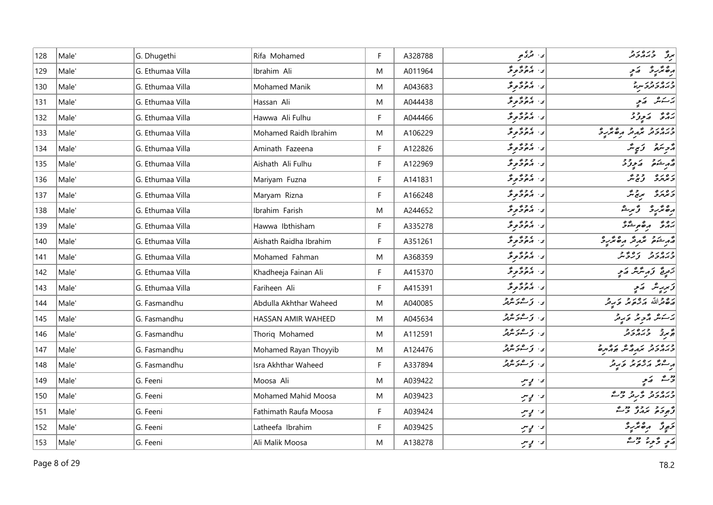| 128 | Male' | G. Dhugethi      | Rifa Mohamed           | F | A328788 | و ، تروم<br>و : ترومج | برو ورەرو                                                                                                                                                                   |
|-----|-------|------------------|------------------------|---|---------|-----------------------|-----------------------------------------------------------------------------------------------------------------------------------------------------------------------------|
| 129 | Male' | G. Ethumaa Villa | Ibrahim Ali            | M | A011964 | ، دودود               | ەھ ئۈرۈ                                                                                                                                                                     |
| 130 | Male' | G. Ethumaa Villa | Mohamed Manik          | M | A043683 |                       | כ גם גבג<br><i>ב ג</i> וג <i>ב</i> וגד ייגיו                                                                                                                                |
| 131 | Male' | G. Ethumaa Villa | Hassan Ali             | M | A044438 | -- موڅونځ             | پرستمبر کامی                                                                                                                                                                |
| 132 | Male' | G. Ethumaa Villa | Hawwa Ali Fulhu        | F | A044466 | ى بەدە ئوقر           | بره پی پروژ                                                                                                                                                                 |
| 133 | Male' | G. Ethumaa Villa | Mohamed Raidh Ibrahim  | M | A106229 | ى بەدە بوقى           | כנסנכ המב תפתיפ                                                                                                                                                             |
| 134 | Male' | G. Ethumaa Villa | Aminath Fazeena        | F | A122826 | — موځ وڅ              | تەجەسىتى ئىس ئىر                                                                                                                                                            |
| 135 | Male' | G. Ethumaa Villa | Aishath Ali Fulhu      | F | A122969 | - ، دو و و و څ        | أقهر شكافه الكافية والمحمد                                                                                                                                                  |
| 136 | Male' | G. Ethumaa Villa | Mariyam Fuzna          | F | A141831 | - ، دو و و ژ          | د ۵ د د ۶ و پر                                                                                                                                                              |
| 137 | Male' | G. Ethumaa Villa | Maryam Rizna           | F | A166248 | ، دودود               | ر ه ر ه<br>تر برگ<br>ىرىخ مىگە                                                                                                                                              |
| 138 | Male' | G. Ethumaa Villa | Ibrahim Farish         | M | A244652 | ، ، ، ، ، ، ، ، ،     | رەپزىر زىرگ                                                                                                                                                                 |
| 139 | Male' | G. Ethumaa Villa | Hawwa Ibthisham        | F | A335278 | — موځ وڅ              | $rac{1}{2}$                                                                                                                                                                 |
| 140 | Male' | G. Ethumaa Villa | Aishath Raidha Ibrahim | F | A351261 | ى بەدە ئوق            | ה<br>האשים האבל תסתיב                                                                                                                                                       |
| 141 | Male' | G. Ethumaa Villa | Mohamed Fahman         | M | A368359 | - موڅونځو             | ورەرو رەپەر<br><i>دىد</i> مەدىر <mark>ۆ</mark> رۈس                                                                                                                          |
| 142 | Male' | G. Ethumaa Villa | Khadheeja Fainan Ali   | F | A415370 | - ، دو و و ژ          | زَمِيعٌ ۗ وَمِرْسٌرٌ مَ مِهِ                                                                                                                                                |
| 143 | Male' | G. Ethumaa Villa | Fariheen Ali           | F | A415391 | - موڅونځ              | ق پرېد ه.                                                                                                                                                                   |
| 144 | Male' | G. Fasmandhu     | Abdulla Akhthar Waheed | M | A040085 | ى بە ئۇسىۋەتلەر       | رە داللە مەدە ئەيد                                                                                                                                                          |
| 145 | Male' | G. Fasmandhu     | HASSAN AMIR WAHEED     | M | A045634 | ى بە ئۇسكەن ئىرلىر    | برسك ومحامد وكرفر                                                                                                                                                           |
| 146 | Male' | G. Fasmandhu     | Thorig Mohamed         | M | A112591 | ى بە ئۇسىگەنگەنگەر    | په د وره د و.<br>چې د کارکونر                                                                                                                                               |
| 147 | Male' | G. Fasmandhu     | Mohamed Rayan Thoyyib  | M | A124476 | ى بى ھەر ھەتە         | כנסנב התהיית המתים                                                                                                                                                          |
| 148 | Male' | G. Fasmandhu     | Isra Akhthar Waheed    | F | A337894 | ى كۆر شەنزىلەر        | و هغه د ه د و و د د                                                                                                                                                         |
| 149 | Male' | G. Feeni         | Moosa Ali              | M | A039422 | ى - مەس               | $\begin{array}{c c}\n\hline\n\end{array}\n\begin{array}{c}\n\hline\n\end{array}\n\begin{array}{c}\n\hline\n\end{array}\n\begin{array}{c}\n\hline\n\end{array}\n\end{array}$ |
| 150 | Male' | G. Feeni         | Mohamed Mahid Moosa    | M | A039423 | د و د پ               | כנסק כ"כני כ"ש.<br>כמוכני כני כ"                                                                                                                                            |
| 151 | Male' | G. Feeni         | Fathimath Raufa Moosa  | F | A039424 | ى - مەس               | و ده ده وه «رم                                                                                                                                                              |
| 152 | Male' | G. Feeni         | Latheefa Ibrahim       | F | A039425 | د و د پ               | خبور مقترع                                                                                                                                                                  |
| 153 | Male' | G. Feeni         | Ali Malik Moosa        | M | A138278 | ى المحامل             | ړې د ورا د د                                                                                                                                                                |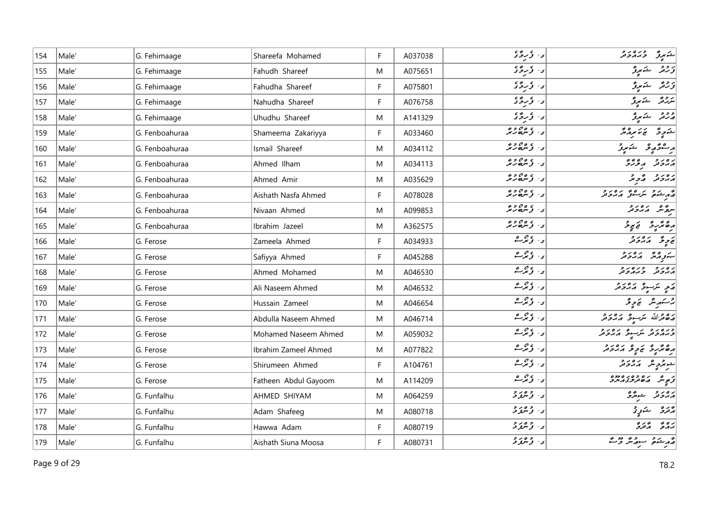| 154 | Male' | G. Fehimaage   | Shareefa Mohamed     | F  | A037038 | ى ئۇرگەنچ                     | و ره ر و<br><i>د ب</i> رگرفر<br> شەمورٌ  |
|-----|-------|----------------|----------------------|----|---------|-------------------------------|------------------------------------------|
| 155 | Male' | G. Fehimaage   | Fahudh Shareef       | M  | A075651 | <sub>ى</sub> ئۇرگۇمى          | وَرُمَّ شَهْرٍوْ                         |
| 156 | Male' | G. Fehimaage   | Fahudha Shareef      | F. | A075801 | ى كۆرگەنچ                     | تۇرلىق سىمبرى                            |
| 157 | Male' | G. Fehimaage   | Nahudha Shareef      | F  | A076758 | ى كۆرگەنچ                     | ىردىق خىمرو                              |
| 158 | Male' | G. Fehimaage   | Uhudhu Shareef       | M  | A141329 | ى كۆرگەنى                     | ەردو ھەمرى                               |
| 159 | Male' | G. Fenboahuraa | Shameema Zakariyya   | F. | A033460 | ے میں دیاتھ<br>یہ وسر تھاریخہ |                                          |
| 160 | Male' | G. Fenboahuraa | Ismail Shareef       | M  | A034112 | ی وه د ور<br>د و مرده رنگر    | ر شۇر ئىسىر                              |
| 161 | Male' | G. Fenboahuraa | Ahmed Ilham          | M  | A034113 | ی وه و و.<br>د و مرده رنگر    | ره د و د و ده<br>مدرو د مرمرد            |
| 162 | Male' | G. Fenboahuraa | Ahmed Amir           | M  | A035629 | ی وه د ورځ<br>ي گرمنځرنځه     | دەر د ئەرىر                              |
| 163 | Male' | G. Fenboahuraa | Aishath Nasfa Ahmed  | F  | A078028 | ، وه ۵ ورو<br>د و مرده رنگر   | و ديدو تر ده د ده د و                    |
| 164 | Male' | G. Fenboahuraa | Nivaan Ahmed         | M  | A099853 | ی وه و و.<br>د و مرده رنگ     | سرغ شهر بره بر د                         |
| 165 | Male' | G. Fenboahuraa | Ibrahim Jazeel       | M  | A362575 | ی وه د دی                     | رە ئرىر ئى ئى                            |
| 166 | Male' | G. Ferose      | Zameela Ahmed        | F  | A034933 | ى بۇ ئۈرگە                    | ى ئەچ ئەسىر ئەرە                         |
| 167 | Male' | G. Ferose      | Safiyya Ahmed        | F  | A045288 | ى بىر كېچە پ                  | ب وه ده دورو                             |
| 168 | Male' | G. Ferose      | Ahmed Mohamed        | M  | A046530 | ى بۇ ئۈرگە                    | ג סגב בג סגב<br>הגבע בגהבע               |
| 169 | Male' | G. Ferose      | Ali Naseem Ahmed     | M  | A046532 | ى بىر كېچىگە                  | أرجمج الكرسوف أكربر وحرفر                |
| 170 | Male' | G. Ferose      | Hussain Zameel       | M  | A046654 | ى بىر كېچە ھ                  |                                          |
| 171 | Male' | G. Ferose      | Abdulla Naseem Ahmed | M  | A046714 | ، ئەچرى                       | رە دالله مترجو مەدر                      |
| 172 | Male' | G. Ferose      | Mohamed Naseem Ahmed | M  | A059032 | ى ئۇتتىر ھ                    | כנסנכ נגרפ גםנכ<br>כמוכנת ייצייק ומכנת   |
| 173 | Male' | G. Ferose      | Ibrahim Zameel Ahmed | M  | A077822 | ى بۇ ئۇرغ                     | גם <i>ג'י</i> ב <sub>אב</sub> ב ג'יבע    |
| 174 | Male' | G. Ferose      | Shirumeen Ahmed      | F  | A104761 | ى بىر كېچە پ                  | جونژو شرکارو                             |
| 175 | Male' | G. Ferose      | Fatheen Abdul Gayoom | M  | A114209 | ى بىر تۈنۈگ                   | د ه ده ده ده ده ده<br>از موسر مان مرد در |
| 176 | Male' | G. Funfalhu    | AHMED SHIYAM         | M  | A064259 | ى - تۇشمەرچ                   | أبره رو سفورده                           |
| 177 | Male' | G. Funfalhu    | Adam Shafeeg         | M  | A080718 | ى - تۇشمەرچ                   | پره شکونځ                                |
| 178 | Male' | G. Funfalhu    | Hawwa Adam           | F. | A080719 | ى بۇشۇرۇ                      | ره په پوره<br>پردگل گرفرچ                |
| 179 | Male' | G. Funfalhu    | Aishath Siuna Moosa  | F. | A080731 | ى - تۇشۇڭر                    |                                          |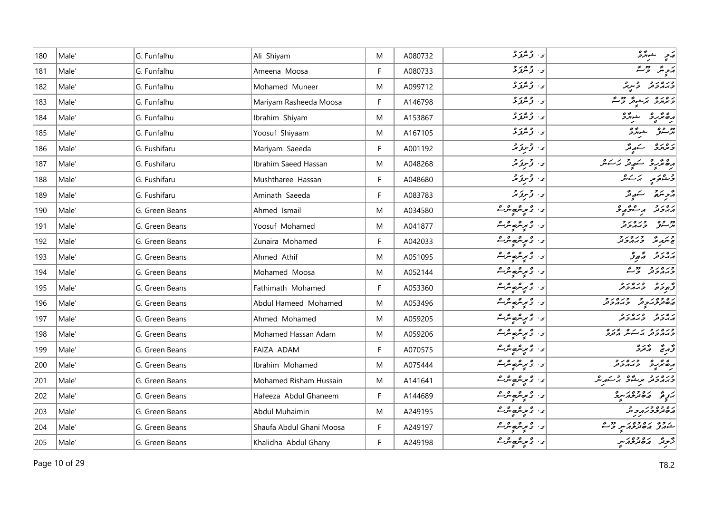| 180 | Male' | G. Funfalhu    | Ali Shiyam               | M  | A080732 | ى - ۇشۇڭ              | $rac{cos \theta}{1}$                             |
|-----|-------|----------------|--------------------------|----|---------|-----------------------|--------------------------------------------------|
| 181 | Male' | G. Funfalhu    | Ameena Moosa             | F. | A080733 | ى - تۇشۇڭر            | أرْجِبْرُ الْمَسْتَمْ                            |
| 182 | Male' | G. Funfalhu    | Mohamed Muneer           | M  | A099712 | ى - ۇشۇڭ              | כנסנכ כתב                                        |
| 183 | Male' | G. Funfalhu    | Mariyam Rasheeda Moosa   | F. | A146798 | ى بۇشۇڭ               | دەرە برخوش دىگ                                   |
| 184 | Male' | G. Funfalhu    | Ibrahim Shiyam           | M  | A153867 | ى - تۇشۇڭر            | رە ئەر ئىستى ئىش                                 |
| 185 | Male' | G. Funfalhu    | Yoosuf Shiyaam           | M  | A167105 | ى - ۇشۇڭ              | دد حره<br>در سرگو<br>شەدگرى                      |
| 186 | Male' | G. Fushifaru   | Mariyam Saeeda           | F. | A001192 | ى كۆرۈنۈ              | د ۱۳ د کرونگر                                    |
| 187 | Male' | G. Fushifaru   | Ibrahim Saeed Hassan     | M  | A048268 | ى كۆرۈكۈ              | رەپرىي سەرتە بەسەر                               |
| 188 | Male' | G. Fushifaru   | Mushtharee Hassan        | F  | A048680 | ى كۆرۈنم              | وصفوته يمسك                                      |
| 189 | Male' | G. Fushifaru   | Aminath Saeeda           | F  | A083783 | ى كۆرۈكۈ              | أرمح يتكفى التسكير فكر                           |
| 190 | Male' | G. Green Beans | Ahmed Ismail             | M  | A034580 | ى كە ئېرىترە يېڭىش    | أرورو المستوضع                                   |
| 191 | Male' | G. Green Beans | Yoosuf Mohamed           | M  | A041877 | ى ئىم پىرتى شرت       | و ره ر د<br><i>د ب</i> رگرفر<br>در مره<br>در سهو |
| 192 | Male' | G. Green Beans | Zunaira Mohamed          | F  | A042033 | ى ئىم پىر شرى شرت     | و ره ر و<br>رنگرونر<br>تج سَمَدٍ بَتَرُ          |
| 193 | Male' | G. Green Beans | Ahmed Athif              | M  | A051095 | ى ئىم پىرتى بىرگ      | د ه د د په پور                                   |
| 194 | Male' | G. Green Beans | Mohamed Moosa            | M  | A052144 | ى كەمپەرتى تەرب       | ورەر دور                                         |
| 195 | Male' | G. Green Beans | Fathimath Mohamed        | F  | A053360 | ى كەمپەرتى تەرب       | و د دره دور                                      |
| 196 | Male' | G. Green Beans | Abdul Hameed Mohamed     | M  | A053496 | ى ئىم پەرتى تەرب      | ره وه ر و وره رو<br>مصر وبروتر وبرمرتر           |
| 197 | Male' | G. Green Beans | Ahmed Mohamed            | M  | A059205 | ى ئىم پىرتى شرت       | ג סגב בגסגב<br>הגבע בגהבע                        |
| 198 | Male' | G. Green Beans | Mohamed Hassan Adam      | M  | A059206 | ى كەمدىھەتلەت         | ورەر وەركىسى ئەرە                                |
| 199 | Male' | G. Green Beans | FAIZA ADAM               | F  | A070575 | ى ئىم پىر ھەيدى.<br>ئ | وٌَمہِ مَحْرَدٌ                                  |
| 200 | Male' | G. Green Beans | Ibrahim Mohamed          | M  | A075444 | ، گېرسه شرم شر        | ת הייני בגתכת                                    |
| 201 | Male' | G. Green Beans | Mohamed Risham Hussain   | M  | A141641 | ى ئىم پىرتى بىرگ      | ورەرو برېشى چرىكەش                               |
| 202 | Male' | G. Green Beans | Hafeeza Abdul Ghaneem    | F. | A144689 | ى كە ئېرىش ھەيشى<br>ئ | برَ پِرِ مَصْرُونَ مِرْ وَ                       |
| 203 | Male' | G. Green Beans | Abdul Muhaimin           | M  | A249195 | ى كەمپەر ھەشرىك       | ره وه ور<br>مه ترود نهرد بر                      |
| 204 | Male' | G. Green Beans | Shaufa Abdul Ghani Moosa | F  | A249197 | ى كەمپەر ھەشرىك       | شەرىق مەھەر دەھ بىر ئەس                          |
| 205 | Male' | G. Green Beans | Khalidha Abdul Ghany     | F  | A249198 | ى كەمپەر ھەشرىك       | تزور رەمەدرىز                                    |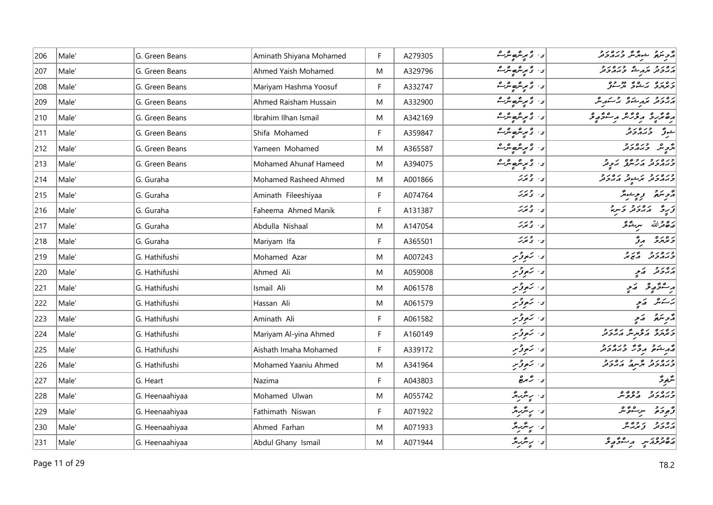| 206 | Male' | G. Green Beans | Aminath Shiyana Mohamed | F         | A279305 | ، ئىمپى <i>گە چەرى</i>             | أأدخر المستورث وبراد والمستحصر                                                                         |
|-----|-------|----------------|-------------------------|-----------|---------|------------------------------------|--------------------------------------------------------------------------------------------------------|
| 207 | Male' | G. Green Beans | Ahmed Yaish Mohamed     | M         | A329796 | ى كە ئېرىگرى تېرىك                 | גפגר הגים כגם גר                                                                                       |
| 208 | Male' | G. Green Beans | Mariyam Hashma Yoosuf   | F         | A332747 | <sub>ى ئ</sub> ېرىش ھەشرىشە        | ر ۲۰ در ۲۵ در ۶۵<br>د بربرگر برشوگر برسول                                                              |
| 209 | Male' | G. Green Beans | Ahmed Raisham Hussain   | M         | A332900 | ى ئىم پىر شرى شرت                  | رەرو تەرىشى جاسەر                                                                                      |
| 210 | Male' | G. Green Beans | Ibrahim Ilhan Ismail    | ${\sf M}$ | A342169 | ى ئىم پىر ش <sub>ەھ</sub> بەر<br>ئ | رەپرىي روزىر رىشۇرو                                                                                    |
| 211 | Male' | G. Green Beans | Shifa Mohamed           | F         | A359847 | ى ئىم پىرى بىرىكى                  | شورٌ حربه در د                                                                                         |
| 212 | Male' | G. Green Beans | Yameen Mohamed          | M         | A365587 | ى كەمرىگرە بىرگ                    | أترج شرح وبروير                                                                                        |
| 213 | Male' | G. Green Beans | Mohamed Ahunaf Hameed   | ${\sf M}$ | A394075 | ى كەمپەر ھەشرىك                    | ورەرو رومۇھ بردەتر                                                                                     |
| 214 | Male' | G. Guraha      | Mohamed Rasheed Ahmed   | ${\sf M}$ | A001866 | ى - ئەتىرك                         | ورەرو برخوش كەرد<br><i>وبەد</i> ۈش برخوش كەبر <i>ۈ</i> ش                                               |
| 215 | Male' | G. Guraha      | Aminath Fileeshiyaa     | F         | A074764 | ى - ئەتىرك                         | أأترسكم ووجوان                                                                                         |
| 216 | Male' | G. Guraha      | Faheema Ahmed Manik     | F         | A131387 | ى - ئەتىرك                         | توری مصدوم و سره                                                                                       |
| 217 | Male' | G. Guraha      | Abdulla Nishaal         | M         | A147054 | ى - ئەتىرك                         | صصرالله<br>سرڪو                                                                                        |
| 218 | Male' | G. Guraha      | Mariyam Ifa             | F         | A365501 | ى - ئەتىرك                         | د ه د د و                                                                                              |
| 219 | Male' | G. Hathifushi  | Mohamed Azar            | ${\sf M}$ | A007243 | ار · سکھوتوسر                      | و ره ر و<br><i>و پر</i> پر <del>و</del> تر<br>پر بر حر<br>در سی                                        |
| 220 | Male' | G. Hathifushi  | Ahmed Ali               | M         | A059008 | ى ئەرۇپر                           | پروژ په په                                                                                             |
| 221 | Male' | G. Hathifushi  | Ismail Ali              | ${\sf M}$ | A061578 | ى ئەھمۇمىيە<br>مەسىر               | أبر شرمح يو أو أيد المحمد المحمد المحمد المحمد المحمد المحمد المحمد المحمد المحمد المحمد المحمد المحمد |
| 222 | Male' | G. Hathifushi  | Hassan Ali              | M         | A061579 | ، ئە <sub>ۋ</sub> ۇپر              | يز کشته اړه کړه کړ                                                                                     |
| 223 | Male' | G. Hathifushi  | Aminath Ali             | F         | A061582 | ى ئەرۇپر                           | أزويته أأتمج                                                                                           |
| 224 | Male' | G. Hathifushi  | Mariyam Al-yina Ahmed   | F         | A160149 | ى ئەرۇپر                           | גם גם גם הפתייל המכת                                                                                   |
| 225 | Male' | G. Hathifushi  | Aishath Imaha Mohamed   | F         | A339172 | ى ئەرۇپر                           | مەر شەھ بەر ئەر ئەر ئە                                                                                 |
| 226 | Male' | G. Hathifushi  | Mohamed Yaaniu Ahmed    | M         | A341964 | ى ئەرۇپر                           | כנסנכ מינה כנסנכ<br>בגהבת המינה הגבת                                                                   |
| 227 | Male' | G. Heart       | Nazima                  | F         | A043803 | ی گریم هم                          | متزمرقر                                                                                                |
| 228 | Male' | G. Heenaahiyaa | Mohamed Ulwan           | M         | A055742 | ى سە سە ئەرەرگە<br>ئە              | وه ۶ ه<br>مرموش<br>و رە ر د<br><i>د بە</i> پەر                                                         |
| 229 | Male' | G. Heenaahiyaa | Fathimath Niswan        | F         | A071922 | ى سەسىرىدىگە                       | سرے پھر<br>ا تو جر جر<br>المحرج جم                                                                     |
| 230 | Male' | G. Heenaahiyaa | Ahmed Farhan            | M         | A071933 | ، سپر پر پر پر                     | ەرەر د<br>ىر جەمبەر<br>توپىرىش                                                                         |
| 231 | Male' | G. Heenaahiyaa | Abdul Ghany Ismail      | ${\sf M}$ | A071944 | ى سەسىرىدىگە                       | גפינית תפיקית                                                                                          |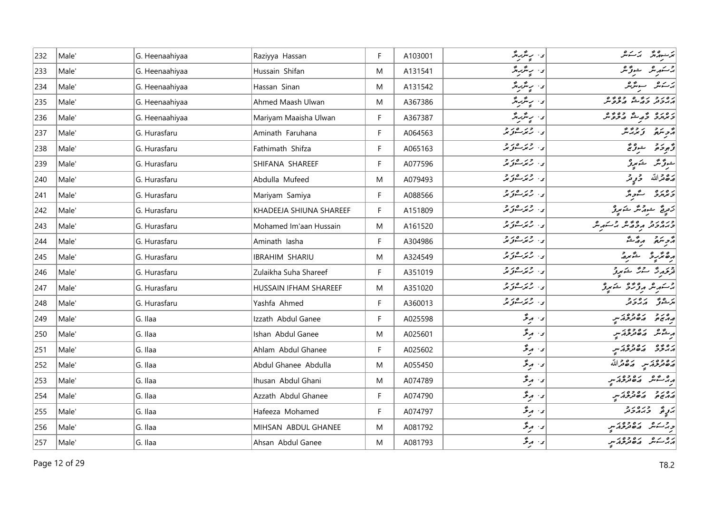| 232 | Male' | G. Heenaahiyaa | Raziyya Hassan          | F  | A103001 | ى سەپەتىرىدىگە<br>سىمبە | بمسور مرکب میکند                                       |
|-----|-------|----------------|-------------------------|----|---------|-------------------------|--------------------------------------------------------|
| 233 | Male' | G. Heenaahiyaa | Hussain Shifan          | M  | A131541 | ى سە سە ئەرەر           | ر<br>برگستهریش خورشگر                                  |
| 234 | Male' | G. Heenaahiyaa | Hassan Sinan            | M  | A131542 | ى سەسىرىدىگر            | <br> زستمبر سوشریر                                     |
| 235 | Male' | G. Heenaahiyaa | Ahmed Maash Ulwan       | M  | A367386 | ى سەسىرىدىگە            | ره رو رو ه وه وه وه<br>مدرو روم شهروش                  |
| 236 | Male' | G. Heenaahiyaa | Mariyam Maaisha Ulwan   | F  | A367387 | ى سەسىرىدىگە            | ر ٥ ر ٥ م م ٢٥٠٠ م ٢٠٥٠ م.<br>و برور و ور شه و و و و م |
| 237 | Male' | G. Hurasfaru   | Aminath Faruhana        | F  | A064563 | ى بەر مەر قويمۇ         | أأروسهم وتراثا الأر                                    |
| 238 | Male' | G. Hurasfaru   | Fathimath Shifza        | F  | A065163 | ى بەر جەر شەبۇر بىر     | أَوْجِرْحَمْ سُورٌجٌ                                   |
| 239 | Male' | G. Hurasfaru   | SHIFANA SHAREEF         | F. | A077596 | ى بەر شەبۇ ئىر          | شوژٌ مَّرْ سَدَبِرِرْ                                  |
| 240 | Male' | G. Hurasfaru   | Abdulla Mufeed          | M  | A079493 | ى بەر مەر قەرىر         | 2014 قريد                                              |
| 241 | Male' | G. Hurasfaru   | Mariyam Samiya          | F. | A088566 | ى بەر جەر ھۆر جە        | دەرە ئەپ                                               |
| 242 | Male' | G. Hurasfaru   | KHADEEJA SHIUNA SHAREEF | F. | A151809 | ى ، رىمەسىمۇ ئىر        | ترىرى سىرمىگر سىرىرۇ                                   |
| 243 | Male' | G. Hurasfaru   | Mohamed Im'aan Hussain  | M  | A161520 | ى ، رقى ئەستىرىنى       | ورەرد مەدەب رقىدىر                                     |
| 244 | Male' | G. Hurasfaru   | Aminath lasha           | F  | A304986 | ى بەر ھەر جە            | ړو سره پر پر شو                                        |
| 245 | Male' | G. Hurasfaru   | <b>IBRAHIM SHARIU</b>   | M  | A324549 | ى ، رقى ئەستۇمۇمىز      | رە ئەر ئىسىم                                           |
| 246 | Male' | G. Hurasfaru   | Zulaikha Suha Shareef   | F. | A351019 | ى بەر ھەر جە            | <i>قرقهر شمر شمير شهر قر</i>                           |
| 247 | Male' | G. Hurasfaru   | HUSSAIN IFHAM SHAREEF   | M  | A351020 | ى بەر شەبۇ ئىر          | رحمر مرورو خبرو                                        |
| 248 | Male' | G. Hurasfaru   | Yashfa Ahmed            | F  | A360013 | ى بەر شەبۇ ئىر          | برعاء كالمردح                                          |
| 249 | Male' | G. Ilaa        | Izzath Abdul Ganee      | F. | A025598 | ى بەرگ                  | ورو رەدەركىر                                           |
| 250 | Male' | G. Ilaa        | Ishan Abdul Ganee       | M  | A025601 | ى بەرگ                  | ر ش <sup>و</sup> م ره دونه ر                           |
| 251 | Male' | G. Ilaa        | Ahlam Abdul Ghanee      | F  | A025602 | ى بەرتى                 | رە بوە دە دەرىر                                        |
| 252 | Male' | G. Ilaa        | Abdul Ghanee Abdulla    | M  | A055450 | ى بەرتى                 | رەدە ئور ھەتراللە                                      |
| 253 | Male' | G. Ilaa        | Ihusan Abdul Ghani      | M  | A074789 | ى بەرگ                  | مرير شهر مەمەر ئەمىر                                   |
| 254 | Male' | G. Ilaa        | Azzath Abdul Ghanee     | F  | A074790 | ى دەپچ                  | 2016 - 2016 הפיצה ית                                   |
| 255 | Male' | G. Ilaa        | Hafeeza Mohamed         | F  | A074797 | ای مرقی<br>——           | پَروِنَجْ وَبَرُورو                                    |
| 256 | Male' | G. Ilaa        | MIHSAN ABDUL GHANEE     | M  | A081792 | ى بەرگە                 | وبركش مەدەم ب                                          |
| 257 | Male' | G. Ilaa        | Ahsan Abdul Ganee       | M  | A081793 | ى بەرتى                 | גם גם גם כפגת                                          |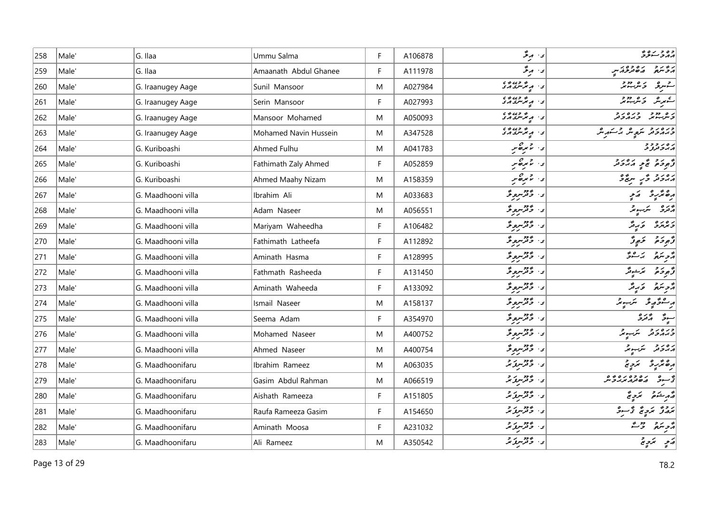| 258 | Male' | G. Ilaa            | Ummu Salma            | F           | A106878 | ى دېگ                           | وه و د و و<br>ممرو سنوو                      |
|-----|-------|--------------------|-----------------------|-------------|---------|---------------------------------|----------------------------------------------|
| 259 | Male' | G. Ilaa            | Amaanath Abdul Ghanee | F           | A111978 | ى . مۇ                          | קשק - קספרה ית                               |
| 260 | Male' | G. Iraanugey Aage  | Sunil Mansoor         | M           | A027984 | $rac{1}{50}$                    | ر ۵ بر ۶۶<br>د مرسد نمر<br>سەبىرو            |
| 261 | Male' | G. Iraanugey Aage  | Serin Mansoor         | F           | A027993 | و موسمون وړه و.<br>و موسمون ه و | ر ۵٫۵ وو و<br>ئەبىر بىر                      |
| 262 | Male' | G. Iraanugey Aage  | Mansoor Mohamed       | M           | A050093 | و به دون و د<br>د به مرس پر دو  | גם חדר דגם גד<br>בית-יידוד בגובדוג           |
| 263 | Male' | G. Iraanugey Aage  | Mohamed Navin Hussein | M           | A347528 | و مورد وړه وه<br>و مورد مرد ور  | ورەرو ئۇي ئەككەنگە                           |
| 264 | Male' | G. Kuriboashi      | Ahmed Fulhu           | M           | A041783 | ی تمبره مر                      | ر ه ر د د د<br>پر ژ ترو تر                   |
| 265 | Male' | G. Kuriboashi      | Fathimath Zaly Ahmed  | $\mathsf F$ | A052859 | ۍ متموه مړ                      | و و د و ځم په د د د د                        |
| 266 | Male' | G. Kuriboashi      | Ahmed Maahy Nizam     | M           | A158359 | ی تمبره مر                      |                                              |
| 267 | Male' | G. Maadhooni villa | Ibrahim Ali           | M           | A033683 | - دور<br>د گرمهور               | دە ئۆر ئە                                    |
| 268 | Male' | G. Maadhooni villa | Adam Naseer           | M           | A056551 | - ئۇقترىبرى <i>م</i><br>ئ       | ر دره مرکز                                   |
| 269 | Male' | G. Maadhooni villa | Mariyam Waheedha      | F           | A106482 | ى ئۇقترىبرە ئ                   | ر ه ر ه<br><del>ر</del> بربرگ<br>ءَ ٻرِ تَرُ |
| 270 | Male' | G. Maadhooni villa | Fathimath Latheefa    | F           | A112892 | ى ئۇقرىبروگ                     | رَّجْوَدَةُ لَمَجْوِرَّ                      |
| 271 | Male' | G. Maadhooni villa | Aminath Hasma         | $\mathsf F$ | A128995 | ى ئۇقرىبرە ئ                    | ۇ جە ئەھ                                     |
| 272 | Male' | G. Maadhooni villa | Fathmath Rasheeda     | F           | A131450 | ى ئۇترىبرە ئە                   | رُّمِوحَمُّ يَرَجُونَّهُ                     |
| 273 | Male' | G. Maadhooni villa | Aminath Waheeda       | F           | A133092 | ى ئۇقرىرە ئ                     | مەمەسىمە ئەبەتە                              |
| 274 | Male' | G. Maadhooni villa | Ismail Naseer         | M           | A158137 | ى ئۇقرىبرە ئ                    | ر عۇر ئەسىر                                  |
| 275 | Male' | G. Maadhooni villa | Seema Adam            | F           | A354970 | - ئۇقرىبرە ئى<br>ئ              | سوڈ گرمزو                                    |
| 276 | Male' | G. Maadhooni villa | Mohamed Naseer        | M           | A400752 | <br> ى ئۇقرىبرە ئى              | ورەر يە سكەب بە                              |
| 277 | Male' | G. Maadhooni villa | Ahmed Naseer          | M           | A400754 | ى ئۇقرىبرە ئى                   | ر ە ر ج<br>م.ر <del>ج</del> تر<br>ىئەسىرىر   |
| 278 | Male' | G. Maadhoonifaru   | Ibrahim Rameez        | M           | A063035 | ، دُمُرْسِرَ دُ                 | بمرحرم<br>ەر ھەترىر <i>2</i>                 |
| 279 | Male' | G. Maadhoonifaru   | Gasim Abdul Rahman    | M           | A066519 | ى ئۇترىپرىگە                    | ره وه ره ده م<br>پره تربر تر تر تر           |
| 280 | Male' | G. Maadhoonifaru   | Aishath Rameeza       | F           | A151805 | ى ئۇترىرىمىگە                   | وأرجنتم المردع                               |
| 281 | Male' | G. Maadhoonifaru   | Raufa Rameeza Gasim   | F.          | A154650 | ى ئۇترىبرىگە                    | أتمدش ترجع في حر                             |
| 282 | Male' | G. Maadhoonifaru   | Aminath Moosa         | F           | A231032 | ى ئۇترىبرىگە                    | ديو مشر<br>أرمز شرد                          |
| 283 | Male' | G. Maadhoonifaru   | Ali Rameez            | M           | A350542 | ى ئەقترىنى ئىگە                 | ړکو ترویځ                                    |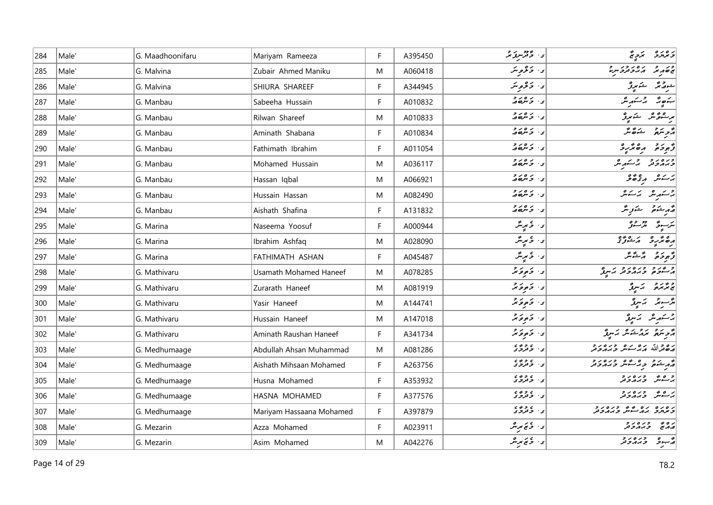| 284 | Male' | G. Maadhoonifaru | Mariyam Rameeza               | F           | A395450 | ى ئۇقرىبرى <i>دى</i> گە              | بمرتزعج<br>ويربرو                              |
|-----|-------|------------------|-------------------------------|-------------|---------|--------------------------------------|------------------------------------------------|
| 285 | Male' | G. Malvina       | Zubair Ahmed Maniku           | M           | A060418 | ء کا محرم پر                         | ر ٥ ر ٥ ر ٥<br>د برو ترو سرړ<br>ور<br>مح خو بر |
| 286 | Male' | G. Malvina       | SHIURA SHAREEF                | F           | A344945 | ى كەنتى ئىر                          | شروش شکرو                                      |
| 287 | Male' | G. Manbau        | Sabeeha Hussain               | F           | A010832 | ى سىرە بەر                           | ٤چ<br>تە ئەمەر بىر                             |
| 288 | Male' | G. Manbau        | Rilwan Shareef                | M           | A010833 | ر د هرد                              | .<br>برخوگر خوبرو                              |
| 289 | Male' | G. Manbau        | Aminath Shabana               | $\mathsf F$ | A010834 | ر د هرد                              | أرد الله المستوقة المر                         |
| 290 | Male' | G. Manbau        | Fathimath Ibrahim             | F           | A011054 | ر د هرد                              | و ده مورد                                      |
| 291 | Male' | G. Manbau        | Mohamed Hussain               | M           | A036117 | ر د هرد                              | ورەرو ورىدىگ                                   |
| 292 | Male' | G. Manbau        | Hassan Iqbal                  | M           | A066921 | ر د هرد                              | پرسکس پروگامحر                                 |
| 293 | Male' | G. Manbau        | Hussain Hassan                | M           | A082490 | ى سىرە ئەر                           | برسكريش برسكس                                  |
| 294 | Male' | G. Manbau        | Aishath Shafina               | F           | A131832 | ى سىرە بەر                           | ۇرمىقۇ مىرىر                                   |
| 295 | Male' | G. Marina        | Naseema Yoosuf                | $\mathsf F$ | A000944 | ى ئۇمېرىگە                           | ىرىسى ھەم<br>سەھىر                             |
| 296 | Male' | G. Marina        | Ibrahim Ashfaq                | M           | A028090 | ى كەمپەنگە                           | دە ئەرە بەشۇر                                  |
| 297 | Male' | G. Marina        | FATHIMATH ASHAN               | $\mathsf F$ | A045487 | ى كەمچە پىر                          | ق برد پر شکر                                   |
| 298 | Male' | G. Mathivaru     | <b>Usamath Mohamed Haneef</b> | M           | A078285 | ى ئەھمەتمە                           | و عرد وره رو نه بود                            |
| 299 | Male' | G. Mathivaru     | Zurarath Haneef               | M           | A081919 | ى ئەموغەتر                           | و درو برمړي<br>د مرمره برمړي                   |
| 300 | Male' | G. Mathivaru     | Yasir Haneef                  | M           | A144741 | ى ئەرەپر                             | ەرگىسىدىنى ئەسپۇ                               |
| 301 | Male' | G. Mathivaru     | Hussain Haneef                | M           | A147018 | ى ئەرەپر                             | ر<br>رئاسكىرىش كەسپى<br>ئاسكىرىش               |
| 302 | Male' | G. Mathivaru     | Aminath Raushan Haneef        | $\mathsf F$ | A341734 | ى ئەھمەتمە                           | مُرْدِسَةِ بِرَمْ شَاسْ بَرْسِرْ               |
| 303 | Male' | G. Medhumaage    | Abdullah Ahsan Muhammad       | M           | A081286 | ے وی وی<br>ی - <b>وترو</b> ی         | ره والله بره بره دره رد                        |
| 304 | Male' | G. Medhumaage    | Aishath Mihsaan Mohamed       | F           | A263756 | ے ویوے<br>ی- وفروی                   | و دعوی در شمس در ۲۵۷۶                          |
| 305 | Male' | G. Medhumaage    | Husna Mohamed                 | F.          | A353932 | ے وی ے<br>ی - <b>وتر</b> وی          | و مشر وره دو                                   |
| 306 | Male' | G. Medhumaage    | HASNA MOHAMED                 | F.          | A377576 | ے وی و<br>ی- وفروی                   | بر عسر العربية وراد                            |
| 307 | Male' | G. Medhumaage    | Mariyam Hassaana Mohamed      | F           | A397879 | ے وی وی<br>ی - <b>وترو</b> ی         | بره به به دره رد<br>برد ستنگ وبردوند<br>ر ەر ە |
| 308 | Male' | G. Mezarin       | Azza Mohamed                  | F           | A023911 | ئەسىم ئەسىر بىر<br>  ئەسىر ئىسىر بىر | رە پە<br>و بر ه بر و<br>تر بر بر تر            |
| 309 | Male' | G. Mezarin       | Asim Mohamed                  | M           | A042276 | ا <sub>ى</sub> ئەسىم ئىرىش           | و رە ر د<br><i>د بە</i> پەر<br>رژب ه           |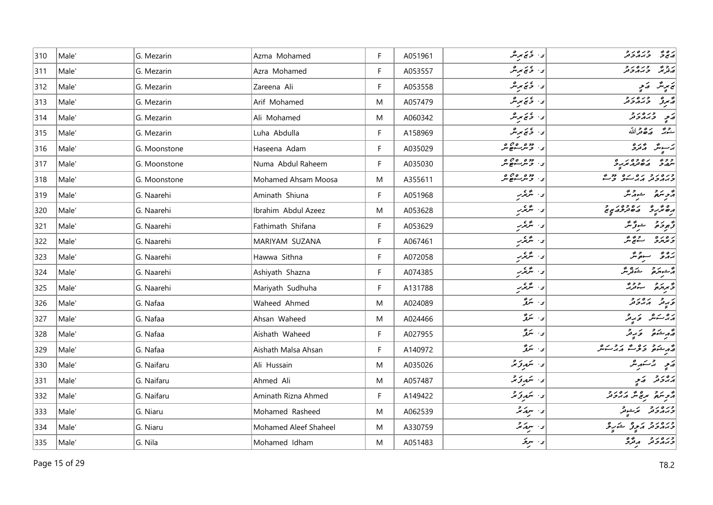| 310 | Male' | G. Mezarin   | Azma Mohamed          | F  | A051961 | <sub>ى:</sub> ئۇئ <sub>ە ئىرىنگر</sub> | و رە ر د<br><i>د بر</i> گرىز<br>ر ه بو<br>پرسخ       |
|-----|-------|--------------|-----------------------|----|---------|----------------------------------------|------------------------------------------------------|
| 311 | Male' | G. Mezarin   | Azra Mohamed          | F  | A053557 | ئەسىم ئىچ ئىرىنگر                      | ر ج محر<br><i>پر</i> فریم<br>و ر ه ر د<br>تر پر ژ تر |
| 312 | Male' | G. Mezarin   | Zareena Ali           | F  | A053558 | <br>  ئ- ئىنى مېرىنگر                  | ئے پر شہر کے کیے                                     |
| 313 | Male' | G. Mezarin   | Arif Mohamed          | M  | A057479 | <br>  <sub>ى</sub> ئىچ ئىرىش           | ەتىرو<br>و ره ر و<br><i>د ب</i> رگرفر                |
| 314 | Male' | G. Mezarin   | Ali Mohamed           | M  | A060342 | ى ئەستىم ئېرىش                         | د دره در د                                           |
| 315 | Male' | G. Mezarin   | Luha Abdulla          | F  | A158969 | -<br>ئ- خىتىمىرىنى                     | جيح صرص والله                                        |
| 316 | Male' | G. Moonstone | Haseena Adam          | F  | A035029 | د ده ۵۵ و.<br>د ارتش                   | ىز سەنئىر مەنى <i>رە</i>                             |
| 317 | Male' | G. Moonstone | Numa Abdul Raheem     | F  | A035030 | ى ئۇنىر مەھ بىر                        | ככל הסינו <i>ת הבר</i>                               |
| 318 | Male' | G. Moonstone | Mohamed Ahsam Moosa   | M  | A355611 | ى ئۇنىر مەھمىر                         | כנסגב גם גם מגור<br>בגהבת הגייב ביי                  |
| 319 | Male' | G. Naarehi   | Aminath Shiuna        | F  | A051968 | .<br>ا <sup>ی م</sup> ستنگرېر          | ۇ ئەسكە ئەسىسىسىگە                                   |
| 320 | Male' | G. Naarehi   | Ibrahim Abdul Azeez   | M  | A053628 | ، سرچينې<br>د سرچينې                   |                                                      |
| 321 | Male' | G. Naarehi   | Fathimath Shifana     | F. | A053629 | .<br>ا <sup>ی م</sup> شتر              | ۇي <sub>م</sub> ۇمۇ سۆزىگە                           |
| 322 | Male' | G. Naarehi   | MARIYAM SUZANA        | F  | A067461 | ای متنگریز                             | ويومره<br>سە ئەنجە ئىگر                              |
| 323 | Male' | G. Naarehi   | Hawwa Sithna          | F  | A072058 | <br> د· متَرْمَر                       | ره په دره<br>بردو سوه ش                              |
| 324 | Male' | G. Naarehi   | Ashiyath Shazna       | F  | A074385 | ى ، مىتزىمىيە                          | ائۇ شوب <i>رە ھەقىرىتر</i>                           |
| 325 | Male' | G. Naarehi   | Mariyath Sudhuha      | F  | A131788 | ای متمگر                               | وحرير ودور                                           |
| 326 | Male' | G. Nafaa     | Waheed Ahmed          | M  | A024089 | ى - سَمَعٌ                             | كربر ورورد                                           |
| 327 | Male' | G. Nafaa     | Ahsan Waheed          | M  | A024466 | ى سىمگ                                 | ره د عر در د<br>ام <sup>ر</sup> کرمش کورنر           |
| 328 | Male' | G. Nafaa     | Aishath Waheed        | F  | A027955 | ى سىمگ                                 | وكرمشكم وكرفر                                        |
| 329 | Male' | G. Nafaa     | Aishath Malsa Ahsan   | F  | A140972 | ى سىمگ                                 | ەر خەر ئەھ ئەر ئەر ئە                                |
| 330 | Male' | G. Naifaru   | Ali Hussain           | M  | A035026 | ى سَمَرُوْنَتْر                        | أەسم بر مسكور مىشر                                   |
| 331 | Male' | G. Naifaru   | Ahmed Ali             | M  | A057487 | ى سَمَرِوَنَمْ                         | أرور وكمي                                            |
| 332 | Male' | G. Naifaru   | Aminath Rizna Ahmed   | F  | A149422 | ى سىمبۇقىم                             | הקיימי תשית המכת                                     |
| 333 | Male' | G. Niaru     | Mohamed Rasheed       | M  | A062539 | ی سرگرمی                               | وره رو برشودگر<br>وبردو ترشودگر                      |
| 334 | Male' | G. Niaru     | Mohamed Aleef Shaheel | M  | A330759 | ى سىمىتى                               | ورەرو كەبدۇ ئەرگە                                    |
| 335 | Male' | G. Nila      | Mohamed Idham         | M  | A051483 | ی ا سریق                               | ورەر د پۇە                                           |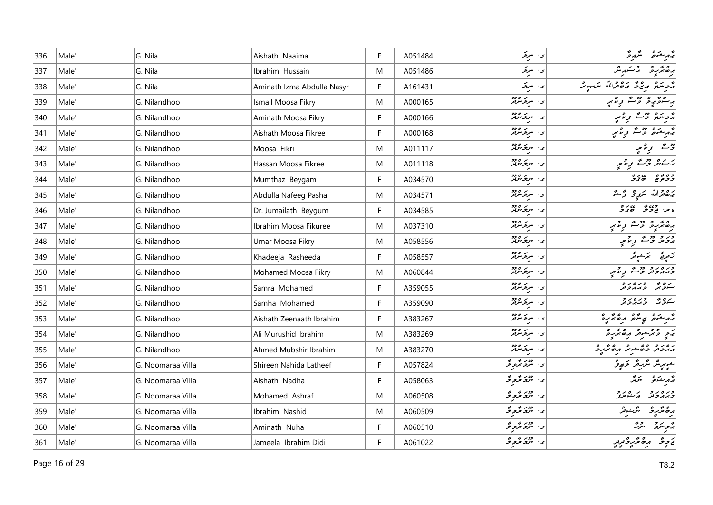| 336 | Male' | G. Nila           | Aishath Naaima             | F         | A051484 | ى - سوپى                | أقمر شمع التميز                                                                                                                                                                                                                 |
|-----|-------|-------------------|----------------------------|-----------|---------|-------------------------|---------------------------------------------------------------------------------------------------------------------------------------------------------------------------------------------------------------------------------|
| 337 | Male' | G. Nila           | Ibrahim Hussain            | M         | A051486 | ء سرقر                  | مصريره من م                                                                                                                                                                                                                     |
| 338 | Male' | G. Nila           | Aminath Izma Abdulla Nasyr | F         | A161431 | ء سرقر                  | أقريتهم وجح وكافرالله تترجع                                                                                                                                                                                                     |
| 339 | Male' | G. Nilandhoo      | Ismail Moosa Fikry         | M         | A000165 | ، سرتمبرد               | أرجع فيوقه فزعته ويتمير                                                                                                                                                                                                         |
| 340 | Male' | G. Nilandhoo      | Aminath Moosa Fikry        | F         | A000166 |                         | و گر مرکز در محمد استان کر در محمد استان کرد که استان کرد که استان کرد که استان کرد که استان کرد که استان کرد<br>محمد استان کرد که استان کرد که استان کرد که استان کرد که استان کرد که برای کرد که برای کرد که برای کرد که برای |
| 341 | Male' | G. Nilandhoo      | Aishath Moosa Fikree       | F         | A000168 | ء سرته چینل<br> -       | لا مدين دين در ديد.<br>مدين دين دين                                                                                                                                                                                             |
| 342 | Male' | G. Nilandhoo      | Moosa Fikri                | M         | A011117 |                         | اژمشه ر <sub>و</sub> ربه<br>ا                                                                                                                                                                                                   |
| 343 | Male' | G. Nilandhoo      | Hassan Moosa Fikree        | ${\sf M}$ | A011118 | ى سرىۋىترلىر            | بر کے میں عظیم اور حرم                                                                                                                                                                                                          |
| 344 | Male' | G. Nilandhoo      | Mumthaz Beygam             | F         | A034570 | ى سرگرىلارد             | 0100 0400<br>030 050                                                                                                                                                                                                            |
| 345 | Male' | G. Nilandhoo      | Abdulla Nafeeg Pasha       | M         | A034571 | ار . سرپژنترنتر         | رە قىراللە سَمَعٍ قَمْ قَرْحَتَمْ                                                                                                                                                                                               |
| 346 | Male' | G. Nilandhoo      | Dr. Jumailath Beygum       | F         | A034585 | ء سرتم میں<br> -        |                                                                                                                                                                                                                                 |
| 347 | Male' | G. Nilandhoo      | Ibrahim Moosa Fikuree      | M         | A037310 |                         | رەپر برد دىس رىي                                                                                                                                                                                                                |
| 348 | Male' | G. Nilandhoo      | Umar Moosa Fikry           | M         | A058556 | ى سرىگە ھەر             | ور و دو عمر و مړ                                                                                                                                                                                                                |
| 349 | Male' | G. Nilandhoo      | Khadeeja Rasheeda          | F         | A058557 | ى سرىر مەدر             | زَمِرِيحٌ   مَرَسْوِمَّرُ                                                                                                                                                                                                       |
| 350 | Male' | G. Nilandhoo      | Mohamed Moosa Fikry        | ${\sf M}$ | A060844 | ى سرىگە دە              | دره د د د معرضهٔ او را بر                                                                                                                                                                                                       |
| 351 | Male' | G. Nilandhoo      | Samra Mohamed              | F         | A359055 | ى سرپۇشۇر               | ۱۵٫۰۰ وره رو                                                                                                                                                                                                                    |
| 352 | Male' | G. Nilandhoo      | Samha Mohamed              | F         | A359090 | ار . سرپژنترنتر         | ده د دره د د                                                                                                                                                                                                                    |
| 353 | Male' | G. Nilandhoo      | Aishath Zeenaath Ibrahim   | F         | A383267 | <sub>ی</sub> سربخسندنگر | و من الله علم الله الله عنه الله عنه الله عنه الله عنه الله عنه الله عنه الله عنه الله عنه الله عنه ا                                                                                                                           |
| 354 | Male' | G. Nilandhoo      | Ali Murushid Ibrahim       | M         | A383269 | ء سرقرمرتر              | ړې د چر د وه پر د                                                                                                                                                                                                               |
| 355 | Male' | G. Nilandhoo      | Ahmed Mubshir Ibrahim      | M         | A383270 | ء سرته عدد              | ני כי כי כי היית הייתורי ביותר.<br>הייכת כי ייתר הייתרי                                                                                                                                                                         |
| 356 | Male' | G. Noomaraa Villa | Shireen Nahida Latheef     | F         | A057824 |                         | ھوپرىك مگرىڭ كۆتمۇتى                                                                                                                                                                                                            |
| 357 | Male' | G. Noomaraa Villa | Aishath Nadha              | F         | A058063 |                         | أوه مشكور المترفكر                                                                                                                                                                                                              |
| 358 | Male' | G. Noomaraa Villa | Mohamed Ashraf             | ${\sf M}$ | A060508 | ، مرد بره د             | وره رو در درو<br>وبردونر ارشوبرو                                                                                                                                                                                                |
| 359 | Male' | G. Noomaraa Villa | Ibrahim Nashid             | M         | A060509 | ى سردېمرو ئى            | سُرَشوترُ<br>ەرھەترىرى<br>ب                                                                                                                                                                                                     |
| 360 | Male' | G. Noomaraa Villa | Aminath Nuha               | F         | A060510 | <br> ى سرچرىگرمونگر     | ە ئەچە ئىكتى<br>سربر                                                                                                                                                                                                            |
| 361 | Male' | G. Noomaraa Villa | Jameela Ibrahim Didi       | F         | A061022 | ى سىزىم ئىگى ئىگە       | غ د پره برگ د پرور پر                                                                                                                                                                                                           |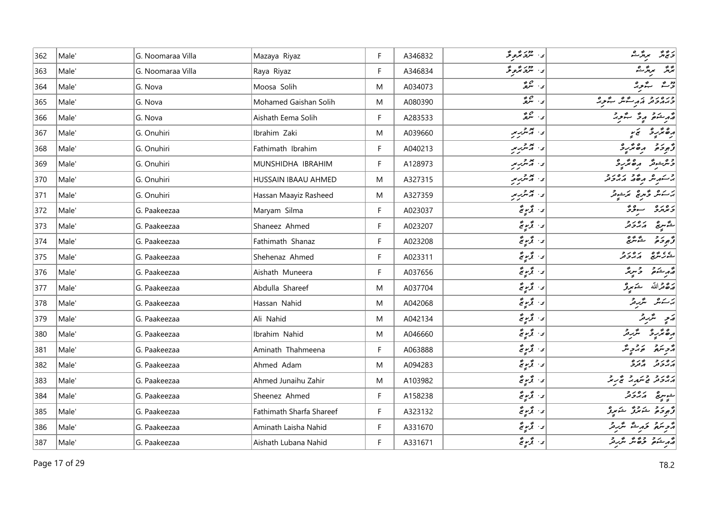| 362 | Male' | G. Noomaraa Villa | Mazaya Riyaz             | F         | A346832 | - دور و پروتر                                                                                                        | بروت<br>پروگ<br> ر پر پر        |
|-----|-------|-------------------|--------------------------|-----------|---------|----------------------------------------------------------------------------------------------------------------------|---------------------------------|
| 363 | Male' | G. Noomaraa Villa | Raya Riyaz               | F.        | A346834 | ى سىردىگەنى                                                                                                          | پر پر برگرے<br>بربڑ             |
| 364 | Male' | G. Nova           | Moosa Solih              | M         | A034073 | ى بەشھ                                                                                                               | در شده بگور <sup>0</sup>        |
| 365 | Male' | G. Nova           | Mohamed Gaishan Solih    | M         | A080390 | ى بىمىچە                                                                                                             | ورەرو زر شر شور                 |
| 366 | Male' | G. Nova           | Aishath Eema Solih       | F         | A283533 | ى بىر ھە                                                                                                             | مأركوه رؤ بكررة                 |
| 367 | Male' | G. Onuhiri        | Ibrahim Zaki             | M         | A039660 | <br> ۍ لم مگرمونو                                                                                                    | $rac{3}{2}$                     |
| 368 | Male' | G. Onuhiri        | Fathimath Ibrahim        | F         | A040213 | ى بەسىمىتىرىس<br>سىمەسىرىر                                                                                           | $rac{1}{2}$                     |
| 369 | Male' | G. Onuhiri        | MUNSHIDHA IBRAHIM        | F         | A128973 | ى بەسىمىتىرىسە<br>س                                                                                                  |                                 |
| 370 | Male' | G. Onuhiri        | HUSSAIN IBAAU AHMED      | M         | A327315 | <br> سهم محمد مرسم                                                                                                   |                                 |
| 371 | Male' | G. Onuhiri        | Hassan Maayiz Rasheed    | M         | A327359 | ى بەللەر<br>ئ                                                                                                        | يركسكر وحمرج المحتضور           |
| 372 | Male' | G. Paakeezaa      | Maryam Silma             | F         | A023037 | ى بۇرىئى                                                                                                             | גەגە س <i>وۋ</i>                |
| 373 | Male' | G. Paakeezaa      | Shaneez Ahmed            | F         | A023207 | ى نۇرىپىتى                                                                                                           | ەر دىر<br>اڪسي                  |
| 374 | Male' | G. Paakeezaa      | Fathimath Shanaz         | F         | A023208 | ى بۇرىدىنچ                                                                                                           | قەم ئۇيدى                       |
| 375 | Male' | G. Paakeezaa      | Shehenaz Ahmed           | F.        | A023311 | ى نۇرىپىچ                                                                                                            | ے <sub>ک</sub> ے مصبح<br>پرور و |
| 376 | Male' | G. Paakeezaa      | Aishath Muneera          | F         | A037656 | $\frac{\partial}{\partial t}\frac{\partial}{\partial y} = \frac{\partial}{\partial x} + \frac{\partial}{\partial y}$ | أقهر يشكره والمحسبة             |
| 377 | Male' | G. Paakeezaa      | Abdulla Shareef          | ${\sf M}$ | A037704 | ى ئۇرىئى                                                                                                             | برە قراللە خىمرو                |
| 378 | Male' | G. Paakeezaa      | Hassan Nahid             | M         | A042068 | ر بو موسیح<br>د افغان                                                                                                | ئەسەھ مەرىر<br>مەسىم            |
| 379 | Male' | G. Paakeezaa      | Ali Nahid                | M         | A042134 | ى بۇرىدىنچ                                                                                                           | ە ئەسىر قىلىدىنى<br>مەسىر       |
| 380 | Male' | G. Paakeezaa      | Ibrahim Nahid            | M         | A046660 | ى بۇرىئىچ                                                                                                            | ەر ھەئەر ۋ<br>متزبر قر          |
| 381 | Male' | G. Paakeezaa      | Aminath Thahmeena        | F.        | A063888 | ى نۇرىپىچ                                                                                                            | أأرمزهم<br>ە ئەقرىتر            |
| 382 | Male' | G. Paakeezaa      | Ahmed Adam               | M         | A094283 | ى ئۇرىئى                                                                                                             | برەر د پرە                      |
| 383 | Male' | G. Paakeezaa      | Ahmed Junaihu Zahir      | M         | A103982 | $\frac{z}{\zeta} \frac{z}{\zeta} \frac{z}{\zeta}$                                                                    | ورود ومتمدة لتحريث              |
| 384 | Male' | G. Paakeezaa      | Sheenez Ahmed            | F         | A158238 | $\frac{z}{\zeta} \frac{z}{\zeta} \cdot z$                                                                            | شوسرچ مددونه                    |
| 385 | Male' | G. Paakeezaa      | Fathimath Sharfa Shareef | F         | A323132 | ى بۇرىئى                                                                                                             | و دو شکرو شکرو                  |
| 386 | Male' | G. Paakeezaa      | Aminath Laisha Nahid     | F.        | A331670 | ى بۇرىئى                                                                                                             | أأوسم فرابط الربار              |
| 387 | Male' | G. Paakeezaa      | Aishath Lubana Nahid     | F         | A331671 | ى : گەرىپىچ                                                                                                          | د در دور دور در د               |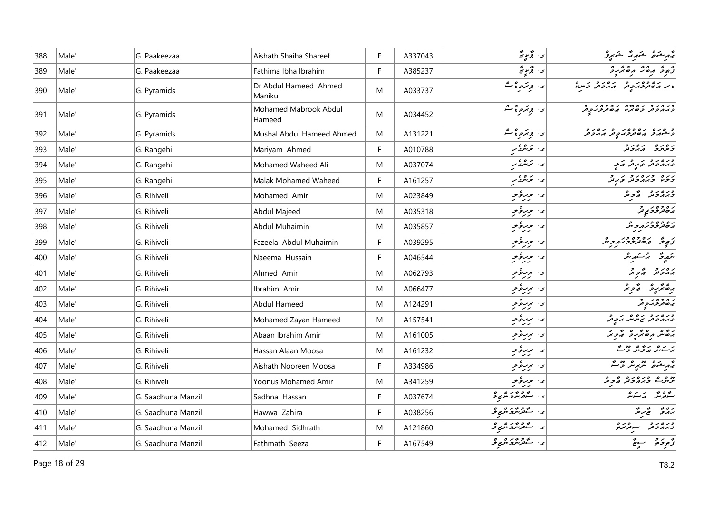| 388 | Male' | G. Paakeezaa       | Aishath Shaiha Shareef          | F  | A337043 | $\left[ \begin{array}{c} \mathbf{z} \\ \mathbf{z} \\ \mathbf{z} \end{array} \right]$ | مەر شكى شكىرىگە شكىرى                                   |
|-----|-------|--------------------|---------------------------------|----|---------|--------------------------------------------------------------------------------------|---------------------------------------------------------|
| 389 | Male' | G. Paakeezaa       | Fathima Ibha Ibrahim            | F  | A385237 | $\begin{bmatrix} z & z \\ z & \end{bmatrix}$                                         |                                                         |
| 390 | Male' | G. Pyramids        | Dr Abdul Hameed Ahmed<br>Maniku | M  | A033737 | ، بویمَه ه پ <sup>ه</sup>                                                            | גם כסתבה בין הפידה ביתור<br>גינה השתבה בין ההכתבת ביתור |
| 391 | Male' | G. Pyramids        | Mohamed Mabrook Abdul<br>Hameed | M  | A034452 | ئ بو پر پره په ه                                                                     | כנסנכ נספס נספסנ כ<br>כמהכת כסמי הסתימקת                |
| 392 | Male' | G. Pyramids        | Mushal Abdul Hameed Ahmed       | M  | A131221 | ا <sub>ی ا</sub> بوبرَد ؟ ے                                                          | و مره ره ده ره ره رو<br>د شهرنو مان ترتر تر مار د تر    |
| 393 | Male' | G. Rangehi         | Mariyam Ahmed                   | F  | A010788 | <br> ئ ئىرىقىچە س                                                                    | ג סגם גם גב<br>כינונים הגבת                             |
| 394 | Male' | G. Rangehi         | Mohamed Waheed Ali              | M  | A037074 | ى ئىچە ئىقرىپ                                                                        | ورەرو كەبىر كەب                                         |
| 395 | Male' | G. Rangehi         | Malak Mohamed Waheed            | F  | A161257 | ى ئەشرىگەر                                                                           |                                                         |
| 396 | Male' | G. Rihiveli        | Mohamed Amir                    | M  | A023849 | ى سورة مو<br>سرر                                                                     | ورەرو ئەچ                                               |
| 397 | Male' | G. Rihiveli        | <b>Abdul Majeed</b>             | M  | A035318 | ى سورەمو<br>سەر                                                                      | ر ه و و ر<br>د ه ترڅر و په تر                           |
| 398 | Male' | G. Rihiveli        | Abdul Muhaimin                  | M  | A035857 | ى سىرىدى<br>سەرىرى                                                                   | ره وه ور<br>ده د د د د بر بر                            |
| 399 | Male' | G. Rihiveli        | Fazeela Abdul Muhaimin          | F  | A039295 | ، سریره د                                                                            | 7999999999999                                           |
| 400 | Male' | G. Rihiveli        | Naeema Hussain                  | F  | A046544 | ، مورځ مو                                                                            | بتمدخ بمستهريش                                          |
| 401 | Male' | G. Rihiveli        | Ahmed Amir                      | M  | A062793 | ى سورۇمۇ                                                                             | أرور و و و                                              |
| 402 | Male' | G. Rihiveli        | Ibrahim Amir                    | M  | A066477 | ى سىرىمى<br>سىرىمى                                                                   | أرەنزىر ئەدىر                                           |
| 403 | Male' | G. Rihiveli        | Abdul Hameed                    | M  | A124291 | ى سىرىدى<br>سەرىرى                                                                   | رە دەر دەر                                              |
| 404 | Male' | G. Rihiveli        | Mohamed Zayan Hameed            | M  | A157541 | ى سورەمو                                                                             | כנסגב גם הקבת<br>כגורכת התית גבת                        |
| 405 | Male' | G. Rihiveli        | Abaan Ibrahim Amir              | M  | A161005 | ى سىرىدى<br>سەرىرى                                                                   | ג'לים גם ג'יב ג'ב ג'                                    |
| 406 | Male' | G. Rihiveli        | Hassan Alaan Moosa              | M  | A161232 | ى سىرىدى<br>سىرىرى                                                                   | ىر يەھەر ئەھرىر ئە                                      |
| 407 | Male' | G. Rihiveli        | Aishath Nooreen Moosa           | F  | A334986 | ، مورځ مو                                                                            | أمر منكار المتار المعرف المحر                           |
| 408 | Male' | G. Rihiveli        | Yoonus Mohamed Amir             | M  | A341259 | ، مورځ مو                                                                            | מכם כנסנכת בב<br>תית המגבת הכת                          |
| 409 | Male' | G. Saadhuna Manzil | Sadhna Hassan                   | F  | A037674 | ى شەھەر ھەر ئ                                                                        | گەرىگر كەسكەش                                           |
| 410 | Male' | G. Saadhuna Manzil | Hawwa Zahira                    | F  | A038256 | ى سەر ئەر ئىرىمى ئى                                                                  | پروژ پچ پ                                               |
| 411 | Male' | G. Saadhuna Manzil | Mohamed Sidhrath                | M  | A121860 | ى سەرتىر ئىرىمى ئى                                                                   | و ره ر و<br>تر پر ژ تر<br>بەلەر 2<br>سولەندە            |
| 412 | Male' | G. Saadhuna Manzil | Fathmath Seeza                  | F. | A167549 | <sub>ى</sub> شەر شىر ھ <sub>ى</sub> ھ                                                | قَ وحدة سبيحَ                                           |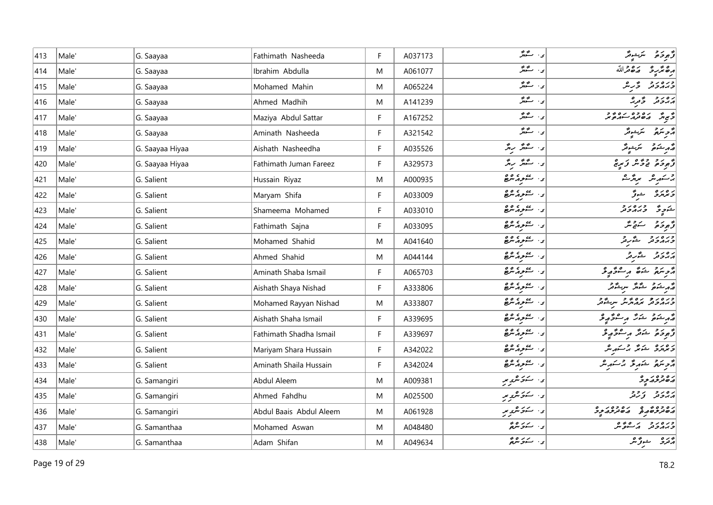| 413 | Male' | G. Saayaa       | Fathimath Nasheeda      | F  | A037173 | ى شەھر                              | و ده سرشونگر<br>در                             |
|-----|-------|-----------------|-------------------------|----|---------|-------------------------------------|------------------------------------------------|
| 414 | Male' | G. Saayaa       | Ibrahim Abdulla         | M  | A061077 | ى شەپىر                             | ارەتزېرد<br>وكحصرالله                          |
| 415 | Male' | G. Saayaa       | Mohamed Mahin           | M  | A065224 | ى شەھر                              | ورەرو ۇرش                                      |
| 416 | Male' | G. Saayaa       | Ahmed Madhih            | M  | A141239 | ى شەھر                              | رەر ئەرە                                       |
| 417 | Male' | G. Saayaa       | Maziya Abdul Sattar     | F  | A167252 | ى شەپىر                             | ره وه ره دو.<br>پره توپر شهر مونو<br>ۇ ئىم ئىر |
| 418 | Male' | G. Saayaa       | Aminath Nasheeda        | F  | A321542 | ى شەھر                              | أزويتكم الترجيعة                               |
| 419 | Male' | G. Saayaa Hiyaa | Aishath Nasheedha       | F  | A035526 | ى سەگە بەر                          | ۇرىشكى سىشىڭ                                   |
| 420 | Male' | G. Saayaa Hiyaa | Fathimath Juman Fareez  | F  | A329573 | ى سەھرىدىگە                         | توجوحه ومحاشر تربيع                            |
| 421 | Male' | G. Salient      | Hussain Riyaz           | M  | A000935 | ى سەمەم ھەھ                         | يز سكر مثل مريكر مش                            |
| 422 | Male' | G. Salient      | Maryam Shifa            | F  | A033009 | ى سەمەر ئىرو                        | شەتر<br>ر ه ر ه<br><del>و</del> بربرو          |
| 423 | Male' | G. Salient      | Shameema Mohamed        | F. | A033010 | ى سىمرۇش                            | و ر ه ر و<br><i>و ټ</i> رو تر<br>بشوردهم       |
| 424 | Male' | G. Salient      | Fathimath Sajna         | F  | A033095 | ى سەمەم ھە                          | ژ <sub>بوخ</sub> و سوړين                       |
| 425 | Male' | G. Salient      | Mohamed Shahid          | M  | A041640 | ى سەمەم ھە                          | ورەرو شەرو                                     |
| 426 | Male' | G. Salient      | Ahmed Shahid            | M  | A044144 | ى سىم ئەھ                           | برەر ئەرىر                                     |
| 427 | Male' | G. Salient      | Aminath Shaba Ismail    | F  | A065703 | ى سەمەم ھە                          | أروسه فساقه والمتوارثة                         |
| 428 | Male' | G. Salient      | Aishath Shaya Nishad    | F. | A333806 | ى سىم دەھ                           | ر<br>وزار شومی شورش سریشوتر<br>ر               |
| 429 | Male' | G. Salient      | Mohamed Rayyan Nishad   | M  | A333807 | <sub>ى</sub> . سەمەم مىرم           | ورەر و رەپ د سرشود.<br>دىرمەدىر مەمەشىر سرشۇنر |
| 430 | Male' | G. Salient      | Aishath Shaha Ismail    | F. | A339695 | ى سىمرۇش                            | وأرشاه شرقه ومحصوفه                            |
| 431 | Male' | G. Salient      | Fathimath Shadha Ismail | F. | A339697 | ى سەمەم ھە                          | ژوده ختر رحزرو                                 |
| 432 | Male' | G. Salient      | Mariyam Shara Hussain   | F  | A342022 | ى سەمەم ھە                          | رەرە بەي جەمرىر                                |
| 433 | Male' | G. Salient      | Aminath Shaila Hussain  | F  | A342024 | ى سەمەم ھە                          | أأدجر المتمريح بمسكر بثر                       |
| 434 | Male' | G. Samangiri    | Abdul Aleem             | M  | A009381 | ى سىترىمىيە                         | ره وه ر<br>په څنرنۍ نړ                         |
| 435 | Male' | G. Samangiri    | Ahmed Fahdhu            | M  | A025500 | ای کنگر می موسمه<br>ای کنگر میگر می | برەرو كەرو                                     |
| 436 | Male' | G. Samangiri    | Abdul Baais Abdul Aleem | M  | A061928 | <br> ی- سکوکسی مر                   | קס כס מים הס כס קס<br>הסטקפס הם הסטקפה         |
| 437 | Male' | G. Samanthaa    | Mohamed Aswan           | M  | A048480 | ى سەر ھەم                           | ورەرو برەپەر                                   |
| 438 | Male' | G. Samanthaa    | Adam Shifan             | M  | A049634 | ى سۇرتىرىم                          | پره <sub>شو</sub> ژي <sub>ن</sub> و            |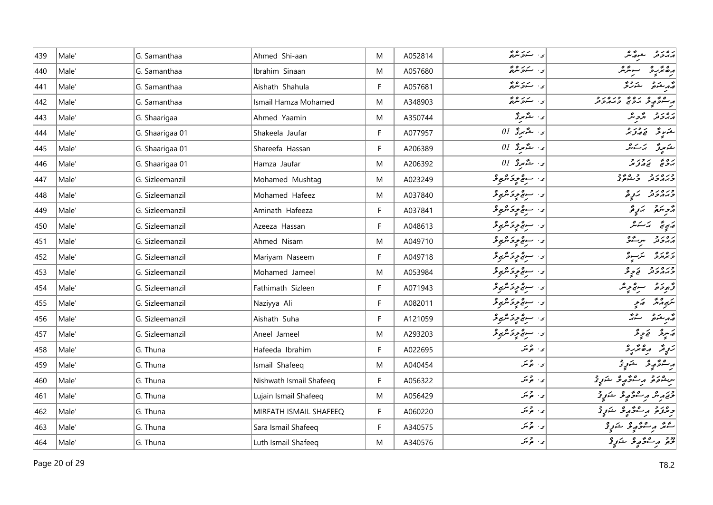| 439 | Male' | G. Samanthaa    | Ahmed Shi-aan           | M           | A052814 | ى سەر ھەھ                                | رەرو ھەرگىر<br>مەرىر ھەرگىر                       |
|-----|-------|-----------------|-------------------------|-------------|---------|------------------------------------------|---------------------------------------------------|
| 440 | Male' | G. Samanthaa    | Ibrahim Sinaan          | M           | A057680 | ى سەر ھەمچ                               | دەندىر                                            |
| 441 | Male' | G. Samanthaa    | Aishath Shahula         | $\mathsf F$ | A057681 | ى سەر ھەھ                                | $\frac{2}{3}$                                     |
| 442 | Male' | G. Samanthaa    | Ismail Hamza Mohamed    | M           | A348903 | ى سەر ھەمچ                               | بر عرض و بره و دره د و<br>بر عرض و بروی و بربروتر |
| 443 | Male' | G. Shaarigaa    | Ahmed Yaamin            | M           | A350744 | ى شەرقى                                  | גפגב ב <sub>ק</sub> בת                            |
| 444 | Male' | G. Shaarigaa 01 | Shakeela Jaufar         | $\mathsf F$ | A077957 | $01$ مَدَّمِرتَنَ $10$                   | شكار فتحارجهم                                     |
| 445 | Male' | G. Shaarigaa 01 | Shareefa Hassan         | F           | A206389 | $01$ مَدَّمِرِدَّ $01$                   | ڪيرڙ پاڪس                                         |
| 446 | Male' | G. Shaarigaa 01 | Hamza Jaufar            | M           | A206392 | $01$ مَدَّمِرَةٌ $01$                    | رەپ رورو                                          |
| 447 | Male' | G. Sizleemanzil | Mohamed Mushtag         | M           | A023249 | ، سرچ پ <sub>و</sub> چ ش <sub>کو</sub> چ | وره رحد وه دو چ<br>تربر در سورتی                  |
| 448 | Male' | G. Sizleemanzil | Mohamed Hafeez          | M           | A037840 | ى سوچ پەيھىرى چ                          | ورەر د پر ۋ                                       |
| 449 | Male' | G. Sizleemanzil | Aminath Hafeeza         | F           | A037841 | ى سوچ پەيھىرى چ                          | ۇ ئىر ئىر ئۇ                                      |
| 450 | Male' | G. Sizleemanzil | Azeeza Hassan           | F           | A048613 | ى سوچ موچ شرىر قر                        | ەي ئەسەر                                          |
| 451 | Male' | G. Sizleemanzil | Ahmed Nisam             | M           | A049710 | ى سوچ پەر شمېر ئى                        | رەرە س <sup>رم</sup> ۇ                            |
| 452 | Male' | G. Sizleemanzil | Mariyam Naseem          | $\mathsf F$ | A049718 | ى سوچ بېرى ش <sub>ك</sub> ې تو           | ويرجو الترسوفي                                    |
| 453 | Male' | G. Sizleemanzil | Mohamed Jameel          | M           | A053984 | ى سوچ پەچ شەپ                            | ورەرو يەر ئ                                       |
| 454 | Male' | G. Sizleemanzil | Fathimath Sizleen       | F           | A071943 | ى سى <i>بم پەرەكتىبى</i> ئ               | توجوحتمو<br>سەنج مويىگە                           |
| 455 | Male' | G. Sizleemanzil | Naziyya Ali             | F           | A082011 | ى سوچ پەيھىرى چ                          | لترىبە ۋە ئە<br>ەكىپىيە                           |
| 456 | Male' | G. Sizleemanzil | Aishath Suha            | F           | A121059 | ى سوچ پەچ شىر قر                         | و مرکز در<br>مرکز مشوی<br>ستەبىر                  |
| 457 | Male' | G. Sizleemanzil | Aneel Jameel            | M           | A293203 | ى سوچ پەيھىم پە                          | ړَ سرد کالا                                       |
| 458 | Male' | G. Thuna        | Hafeeda Ibrahim         | F           | A022695 | ى بە ھەتىر                               | رَوٍمَّ مِـ صَمَّرِة                              |
| 459 | Male' | G. Thuna        | Ismail Shafeeq          | M           | A040454 | ى بە ھەتىر                               | ر صور پر دارد.<br>مرسوم پر مشرور                  |
| 460 | Male' | G. Thuna        | Nishwath Ismail Shafeeq | F           | A056322 | ى بە ھەتىر                               | سرڪوي <sub>۾</sub> ڪوڻي ئي ڪري <sub>ر</sub> چ     |
| 461 | Male' | G. Thuna        | Lujain Ismail Shafeeq   | M           | A056429 | ى قويتر                                  | دۇر ھەر ھەر ھەر ئۇچ                               |
| 462 | Male' | G. Thuna        | MIRFATH ISMAIL SHAFEEQ  | F           | A060220 | ى بەھمىگە                                | وبرزة إر المؤرثة المورثة                          |
| 463 | Male' | G. Thuna        | Sara Ismail Shafeeq     | F           | A340575 | ی په هم متر                              | <i>ے پڑ <sub>م</sub>ے ڈی</i> و خروٍ و             |
| 464 | Male' | G. Thuna        | Luth Ismail Shafeeq     | M           | A340576 | ی په همیتر                               | دو ره ژو خرو                                      |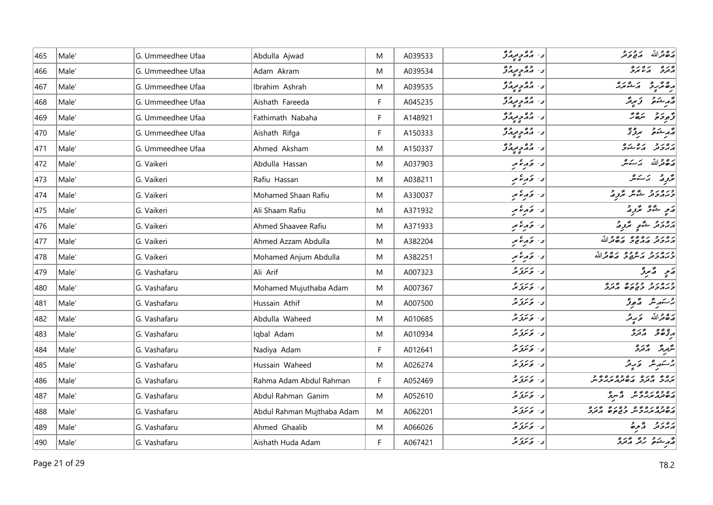| 465 | Male' | G. Ummeedhee Ufaa | Abdulla Ajwad              | M           | A039533 | ء ، مەھمەتەر قرم                            | أصرة مرالله المرور و                                                               |
|-----|-------|-------------------|----------------------------|-------------|---------|---------------------------------------------|------------------------------------------------------------------------------------|
| 466 | Male' | G. Ummeedhee Ufaa | Adam Akram                 | M           | A039534 | د ، م.م. د پرم. ژ                           | پوره ده ده<br>مرتور ملامرد                                                         |
| 467 | Male' | G. Ummeedhee Ufaa | Ibrahim Ashrah             | M           | A039535 | د ، مرم د پرمرتز                            | د ۱۵ پر د<br>كرشو بره                                                              |
| 468 | Male' | G. Ummeedhee Ufaa | Aishath Fareeda            | F           | A045235 | د . م. د و مرمر ژ                           | وكركو ويرقر                                                                        |
| 469 | Male' | G. Ummeedhee Ufaa | Fathimath Nabaha           | $\mathsf F$ | A148921 | .<br>د مرگه په پورتو                        | و وده سره و                                                                        |
| 470 | Male' | G. Ummeedhee Ufaa | Aishath Rifga              | $\mathsf F$ | A150333 | ء <sub>`</sub> م <sup>م</sup> مر پر مرمر تو | وكرمشكم المرواقي                                                                   |
| 471 | Male' | G. Ummeedhee Ufaa | Ahmed Aksham               | M           | A150337 | ى بەرگە <i>چە يېدۇ</i> گ                    | رەرو رەپرە                                                                         |
| 472 | Male' | G. Vaikeri        | Abdulla Hassan             | M           | A037903 | ى ئۇرىئاس                                   | مَدْهُ مِّرَاللَّهُ بَرَسَوْسُ                                                     |
| 473 | Male' | G. Vaikeri        | Rafiu Hassan               | M           | A038211 | <mark>ى ئەر</mark> ئىي                      | بمرورة الاسكانس                                                                    |
| 474 | Male' | G. Vaikeri        | Mohamed Shaan Rafiu        | M           | A330037 | ى ئەمرىكىمىز                                | ورەرو شەھ ئور                                                                      |
| 475 | Male' | G. Vaikeri        | Ali Shaam Rafiu            | M           | A371932 | <mark>ى ئەمرىئاس</mark> ر                   | ړې څو غږد                                                                          |
| 476 | Male' | G. Vaikeri        | Ahmed Shaavee Rafiu        | M           | A371933 | ى ئەمرىئاس                                  | رورو حقو مگرو                                                                      |
| 477 | Male' | G. Vaikeri        | Ahmed Azzam Abdulla        | M           | A382204 | ى ئەھمەتتىر<br>ئ                            | ره رو ره ده ره دالله                                                               |
| 478 | Male' | G. Vaikeri        | Mohamed Anjum Abdulla      | M           | A382251 | ى ئەھمەتلىمىيە<br>ئ                         | وره رو بره وه بره دالله                                                            |
| 479 | Male' | G. Vashafaru      | Ali Arif                   | M           | A007323 | ى بە ئەترىمى                                | أرشح أرتبوقر                                                                       |
| 480 | Male' | G. Vashafaru      | Mohamed Mujuthaba Adam     | M           | A007367 | ى بە ئەترىمى                                | 2000 2009 2009<br>2005 2596 200                                                    |
| 481 | Male' | G. Vashafaru      | Hussain Athif              | M           | A007500 | ى بە ئەترىمى                                | جەسىر شەھ ئە                                                                       |
| 482 | Male' | G. Vashafaru      | Abdulla Waheed             | M           | A010685 | ى بە ئەترىمى                                | أشكاه والله المحربية                                                               |
| 483 | Male' | G. Vashafaru      | Iqbal Adam                 | M           | A010934 | ى بە ئەترىمى                                | د چې د مرده                                                                        |
| 484 | Male' | G. Vashafaru      | Nadiya Adam                | $\mathsf F$ | A012641 | ى بە ئەترىمى                                | ىئۇبرى <i>ز</i><br>پر ہ<br>مرکز                                                    |
| 485 | Male' | G. Vashafaru      | Hussain Waheed             | M           | A026274 | ى بە ئەترىمى                                | جرسكورهن الحاريق                                                                   |
| 486 | Male' | G. Vashafaru      | Rahma Adam Abdul Rahman    | F           | A052469 | ى بە ئەترىپى                                | ر ہ به بر ہ ر ہ د ہ ر ہ بر د<br>بربرات مرکزات میں قبرم مربرات س                    |
| 487 | Male' | G. Vashafaru      | Abdul Rahman Ganim         | M           | A052610 | ى بە ئەترىپى                                | גם כם גם כם המהב                                                                   |
| 488 | Male' | G. Vashafaru      | Abdul Rahman Mujthaba Adam | M           | A062201 | ى بە ئەترىپى                                | ג ם כם ג ם ג ם - כם ג וב - ג ם<br>ג סינג <i>ג ג</i> כ ייג - כ <u>ב</u> ב ים - ג ינ |
| 489 | Male' | G. Vashafaru      | Ahmed Ghaalib              | M           | A066026 | ى بە ئەترىمى                                | برەرد ئەدە                                                                         |
| 490 | Male' | G. Vashafaru      | Aishath Huda Adam          | F           | A067421 | ى بە ئەترىمى                                | أثم مرشوح ومردم ومردم                                                              |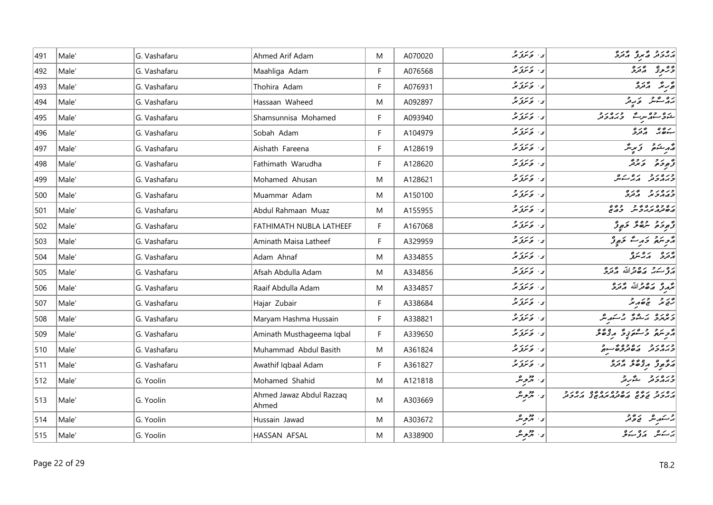| 491 | Male' | G. Vashafaru | Ahmed Arif Adam                   | ${\sf M}$ | A070020 | ى بە ئەترىپى                | גפגב הזיני הנקב                                      |
|-----|-------|--------------|-----------------------------------|-----------|---------|-----------------------------|------------------------------------------------------|
| 492 | Male' | G. Vashafaru | Maahliga Adam                     | F         | A076568 | ى بە ئەترىپى                | ومروتخ أردو                                          |
| 493 | Male' | G. Vashafaru | Thohira Adam                      | F         | A076931 | ى بە ئەترىمى                | $rac{1}{350}$                                        |
| 494 | Male' | G. Vashafaru | Hassaan Waheed                    | M         | A092897 | ى بە ئەترىپى                | برە ئەتر ئەيەتر                                      |
| 495 | Male' | G. Vashafaru | Shamsunnisa Mohamed               | F         | A093940 | ا ئەسىمى ئەتىر              | شوه وه سره دره دو<br>شوه سهر سر                      |
| 496 | Male' | G. Vashafaru | Sobah Adam                        | F         | A104979 | ى بە ئەترىپى                | بەدە ئەدە                                            |
| 497 | Male' | G. Vashafaru | Aishath Fareena                   | F         | A128619 | ى بە ئەترىمىگە              | قەرسىنى ئۇمپىتى                                      |
| 498 | Male' | G. Vashafaru | Fathimath Warudha                 | F         | A128620 | ى بە ئەترىمى                | و د د دور                                            |
| 499 | Male' | G. Vashafaru | Mohamed Ahusan                    | M         | A128621 | <mark>ء - ءَ ترتو تر</mark> | ورەرو رەپ                                            |
| 500 | Male' | G. Vashafaru | Muammar Adam                      | M         | A150100 | ى بە ئەترىمىگە              | כנסנד בנס<br><i>בה</i> הכית הבנ <i>ב</i>             |
| 501 | Male' | G. Vashafaru | Abdul Rahmaan Muaz                | ${\sf M}$ | A155955 | ى بە ئەترىمى                | נסכםנספיק כפס<br>הסנגיגיקייני כה                     |
| 502 | Male' | G. Vashafaru | FATHIMATH NUBLA LATHEEF           | F         | A167068 | ى بە ئەترىمى                | توجدة معصو ترجي                                      |
| 503 | Male' | G. Vashafaru | Aminath Maisa Latheef             | F         | A329959 | ى بە ئەترىمى                | أأوسكة وأرث وجود                                     |
| 504 | Male' | G. Vashafaru | Adam Ahnaf                        | ${\sf M}$ | A334855 | ى بە ئەترىمى                | أدره بره بره                                         |
| 505 | Male' | G. Vashafaru | Afsah Abdulla Adam                | M         | A334856 | ى بە ئەترىمى                | بره برد بره دالله مردره                              |
| 506 | Male' | G. Vashafaru | Raaif Abdulla Adam                | M         | A334857 | ى بە ئەترىمى                | بمهرو رەمزاللە مەمرد                                 |
| 507 | Male' | G. Vashafaru | Hajar Zubair                      | F         | A338684 | ى بە ئەترىمى                | 5.002                                                |
| 508 | Male' | G. Vashafaru | Maryam Hashma Hussain             | F         | A338821 |                             | رەرە برەپ برىكىدىك                                   |
| 509 | Male' | G. Vashafaru | Aminath Musthageema Iqbal         | F         | A339650 | د ۱۰ د تروکر                | أزمر ومنفوق الملحف                                   |
| 510 | Male' | G. Vashafaru | Muhammad Abdul Basith             | M         | A361824 | ى بە ئەترىمى                | ورەر د رەپرەھ دە<br>تربر برەترىق بەي                 |
| 511 | Male' | G. Vashafaru | Awathif Iqbaal Adam               | F         | A361827 | ى بە ئەترىمى                | ر و دره و دره                                        |
| 512 | Male' | G. Yoolin    | Mohamed Shahid                    | M         | A121818 | ى ئەھمەتە                   | ورەرو شەرىر                                          |
| 513 | Male' | G. Yoolin    | Ahmed Jawaz Abdul Razzaq<br>Ahmed | ${\sf M}$ | A303669 | ء مجموعه                    | נסנד נשם נסדסנם שם נסנד<br>המכת בפים השתה מהים באמכת |
| 514 | Male' | G. Yoolin    | Hussain Jawad                     | M         | A303672 | ا <i>و میشو</i> ینگر        | جر شهر شهر المعرف المحمد                             |
| 515 | Male' | G. Yoolin    | HASSAN AFSAL                      | M         | A338900 | ى ئەھمەت                    | يەسەھەر ئەۋسەۋ                                       |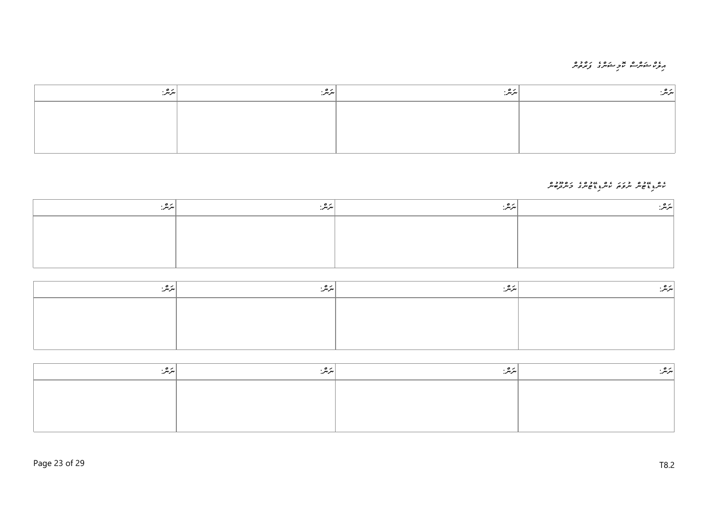## *w7qAn8m? sCw7mRo>u; wEw7mRw;sBo<*

| ' مرمر | 'يئرىثر: |
|--------|----------|
|        |          |
|        |          |
|        |          |

## *w7q9r@w7m> sCw7qHtFoFw7s; mAm=q7 w7qHtFoFw7s;*

| ىر تە | $\mathcal{O} \times$<br>$\sim$ | $\sim$<br>. . | لترنثر |
|-------|--------------------------------|---------------|--------|
|       |                                |               |        |
|       |                                |               |        |
|       |                                |               |        |

| انترنثر: | $^{\circ}$ | يبرهر | $^{\circ}$<br>سرسر |
|----------|------------|-------|--------------------|
|          |            |       |                    |
|          |            |       |                    |
|          |            |       |                    |

| ىرتىر: | 。<br>سر سر | .,<br>مرسر |
|--------|------------|------------|
|        |            |            |
|        |            |            |
|        |            |            |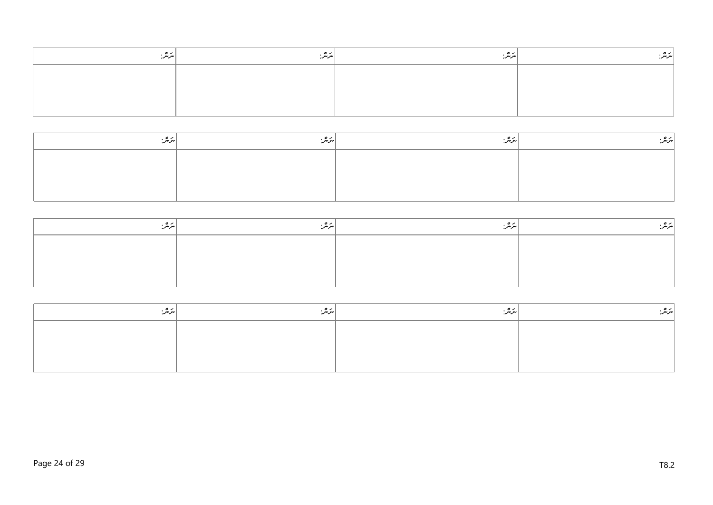| يزهر | $^{\circ}$ | ىئرىتر: |  |
|------|------------|---------|--|
|      |            |         |  |
|      |            |         |  |
|      |            |         |  |

| متريثر به | 。<br>َ سرسر ِ | يتزيترا | سرسر |
|-----------|---------------|---------|------|
|           |               |         |      |
|           |               |         |      |
|           |               |         |      |

| ىرتىر: | $\sim$ | ا بر هه. | لىرىش |
|--------|--------|----------|-------|
|        |        |          |       |
|        |        |          |       |
|        |        |          |       |

| 。<br>مرس. | $\overline{\phantom{a}}$<br>مر سر | يتريثر |
|-----------|-----------------------------------|--------|
|           |                                   |        |
|           |                                   |        |
|           |                                   |        |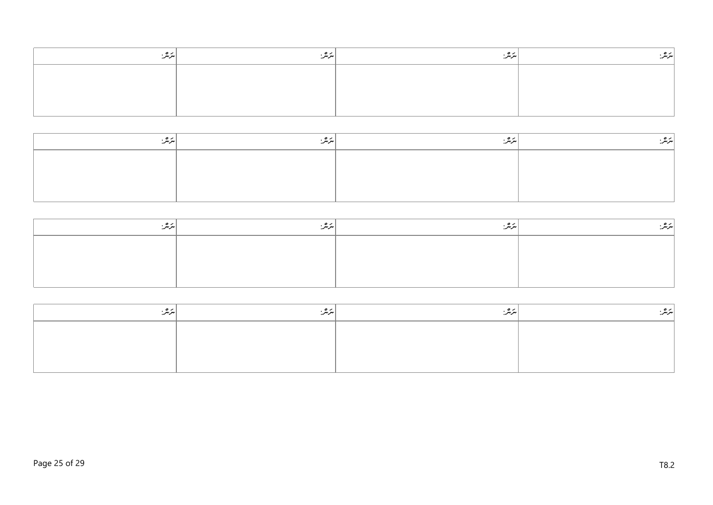| ير هو . | $\overline{\phantom{a}}$ | يرمر | اير هنه. |
|---------|--------------------------|------|----------|
|         |                          |      |          |
|         |                          |      |          |
|         |                          |      |          |

| ىر تىر: | $\circ$ $\sim$<br>" سرسر . | يبرحه | o . |
|---------|----------------------------|-------|-----|
|         |                            |       |     |
|         |                            |       |     |
|         |                            |       |     |

| انترنثر: | ر ه |  |
|----------|-----|--|
|          |     |  |
|          |     |  |
|          |     |  |

|  | . ه |
|--|-----|
|  |     |
|  |     |
|  |     |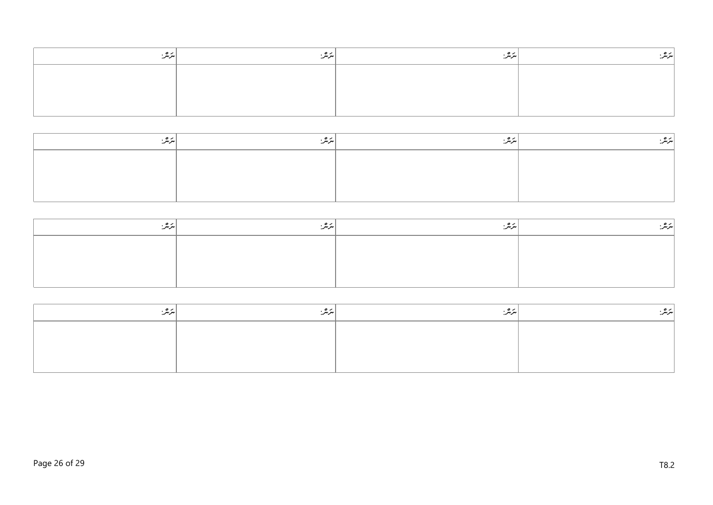| ير هو . | $\overline{\phantom{a}}$ | يرمر | اير هنه. |
|---------|--------------------------|------|----------|
|         |                          |      |          |
|         |                          |      |          |
|         |                          |      |          |

| ىر تىر: | $\circ$ $\sim$<br>" سرسر . | يبرحه | o . |
|---------|----------------------------|-------|-----|
|         |                            |       |     |
|         |                            |       |     |
|         |                            |       |     |

| انترنثر: | ر ه |  |
|----------|-----|--|
|          |     |  |
|          |     |  |
|          |     |  |

|  | . ه |
|--|-----|
|  |     |
|  |     |
|  |     |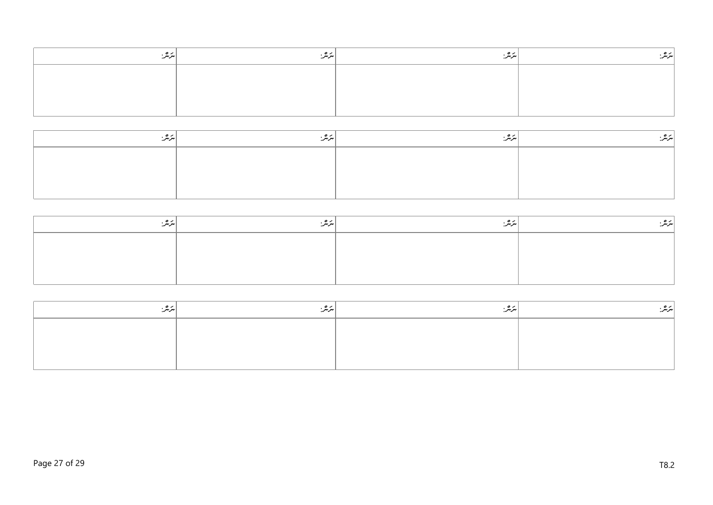| $\cdot$ | ο. | $\frac{\circ}{\cdot}$ | $\sim$<br>سرسر |
|---------|----|-----------------------|----------------|
|         |    |                       |                |
|         |    |                       |                |
|         |    |                       |                |

| ايرعر: | ر ه<br>. . |  |
|--------|------------|--|
|        |            |  |
|        |            |  |
|        |            |  |

| بر ه | 。 | $\sim$<br>َ سومس |  |
|------|---|------------------|--|
|      |   |                  |  |
|      |   |                  |  |
|      |   |                  |  |

| 。<br>. س | ىرىىر |  |
|----------|-------|--|
|          |       |  |
|          |       |  |
|          |       |  |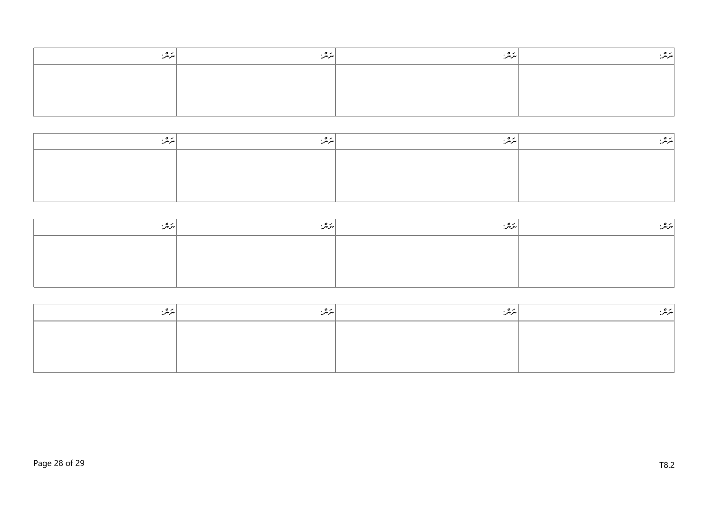| ير هو . | $\overline{\phantom{a}}$ | يرمر | لتزمثن |
|---------|--------------------------|------|--------|
|         |                          |      |        |
|         |                          |      |        |
|         |                          |      |        |

| ئىرتىر: | $\sim$<br>ا سرسر . | يئرمثر | o . |
|---------|--------------------|--------|-----|
|         |                    |        |     |
|         |                    |        |     |
|         |                    |        |     |

| 'تترنثر: | 。<br>,,,, |  |
|----------|-----------|--|
|          |           |  |
|          |           |  |
|          |           |  |

|  | . ه |
|--|-----|
|  |     |
|  |     |
|  |     |